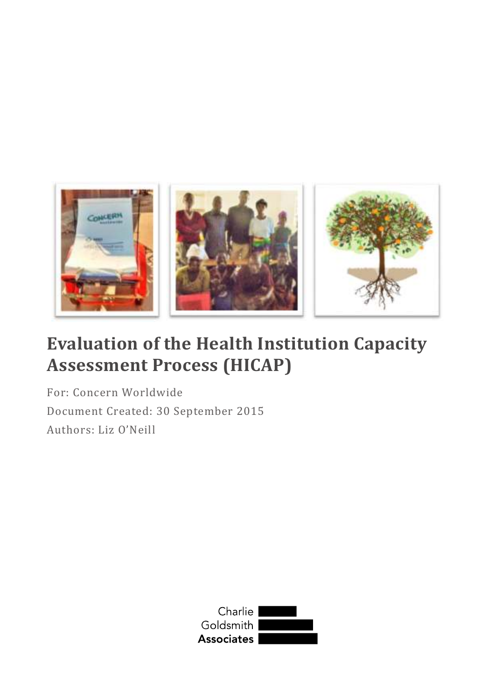

# **Evaluation of the Health Institution Capacity Assessment Process (HICAP)**

For: Concern Worldwide Document Created: 30 September 2015 Authors: Liz O'Neill

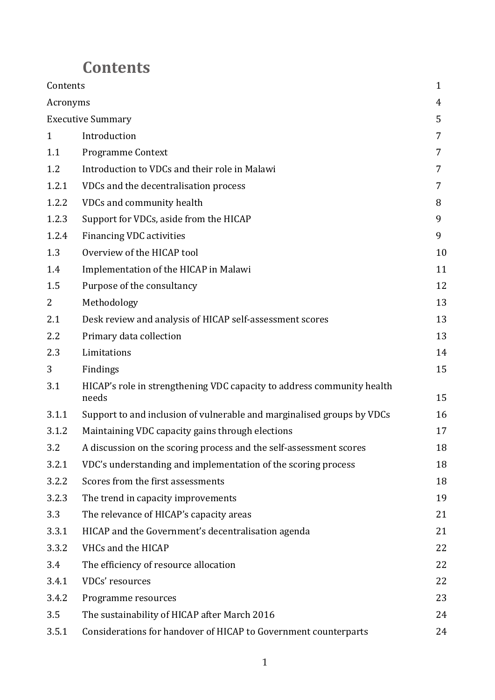# **Contents**

| Contents       |                                                                                 | $\mathbf{1}$ |
|----------------|---------------------------------------------------------------------------------|--------------|
| Acronyms       |                                                                                 | 4            |
|                | <b>Executive Summary</b>                                                        | 5            |
| $\mathbf{1}$   | Introduction                                                                    | 7            |
| 1.1            | <b>Programme Context</b>                                                        | 7            |
| 1.2            | Introduction to VDCs and their role in Malawi                                   | 7            |
| 1.2.1          | VDCs and the decentralisation process                                           | 7            |
| 1.2.2          | VDCs and community health                                                       | 8            |
| 1.2.3          | Support for VDCs, aside from the HICAP                                          | 9            |
| 1.2.4          | <b>Financing VDC activities</b>                                                 | 9            |
| 1.3            | Overview of the HICAP tool                                                      | 10           |
| 1.4            | Implementation of the HICAP in Malawi                                           | 11           |
| 1.5            | Purpose of the consultancy                                                      | 12           |
| $\overline{2}$ | Methodology                                                                     | 13           |
| 2.1            | Desk review and analysis of HICAP self-assessment scores                        | 13           |
| 2.2            | Primary data collection                                                         | 13           |
| 2.3            | Limitations                                                                     | 14           |
| 3              | Findings                                                                        | 15           |
| 3.1            | HICAP's role in strengthening VDC capacity to address community health<br>needs | 15           |
| 3.1.1          | Support to and inclusion of vulnerable and marginalised groups by VDCs          | 16           |
| 3.1.2          | Maintaining VDC capacity gains through elections                                | 17           |
| 3.2            | A discussion on the scoring process and the self-assessment scores              | 18           |
| 3.2.1          | VDC's understanding and implementation of the scoring process                   | 18           |
| 3.2.2          | Scores from the first assessments                                               | 18           |
| 3.2.3          | The trend in capacity improvements                                              | 19           |
| 3.3            | The relevance of HICAP's capacity areas                                         | 21           |
| 3.3.1          | HICAP and the Government's decentralisation agenda                              | 21           |
| 3.3.2          | VHCs and the HICAP                                                              | 22           |
| 3.4            | The efficiency of resource allocation                                           | 22           |
| 3.4.1          | VDCs' resources                                                                 | 22           |
| 3.4.2          | Programme resources                                                             | 23           |
| 3.5            | The sustainability of HICAP after March 2016                                    | 24           |
| 3.5.1          | Considerations for handover of HICAP to Government counterparts                 | 24           |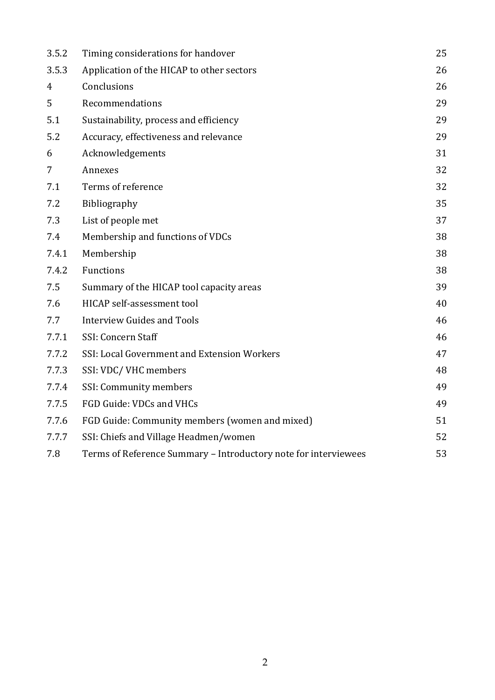| 3.5.2          | Timing considerations for handover                              | 25 |
|----------------|-----------------------------------------------------------------|----|
| 3.5.3          | Application of the HICAP to other sectors                       | 26 |
| $\overline{4}$ | Conclusions                                                     | 26 |
| 5              | Recommendations                                                 | 29 |
| 5.1            | Sustainability, process and efficiency                          | 29 |
| 5.2            | Accuracy, effectiveness and relevance                           | 29 |
| 6              | Acknowledgements                                                | 31 |
| 7              | Annexes                                                         | 32 |
| 7.1            | Terms of reference                                              | 32 |
| 7.2            | Bibliography                                                    | 35 |
| 7.3            | List of people met                                              | 37 |
| 7.4            | Membership and functions of VDCs                                | 38 |
| 7.4.1          | Membership                                                      | 38 |
| 7.4.2          | Functions                                                       | 38 |
| 7.5            | Summary of the HICAP tool capacity areas                        | 39 |
| 7.6            | HICAP self-assessment tool                                      | 40 |
| 7.7            | <b>Interview Guides and Tools</b>                               | 46 |
| 7.7.1          | SSI: Concern Staff                                              | 46 |
| 7.7.2          | SSI: Local Government and Extension Workers                     | 47 |
| 7.7.3          | SSI: VDC/ VHC members                                           | 48 |
| 7.7.4          | SSI: Community members                                          | 49 |
| 7.7.5          | FGD Guide: VDCs and VHCs                                        | 49 |
| 7.7.6          | FGD Guide: Community members (women and mixed)                  | 51 |
| 7.7.7          | SSI: Chiefs and Village Headmen/women                           | 52 |
| 7.8            | Terms of Reference Summary - Introductory note for interviewees | 53 |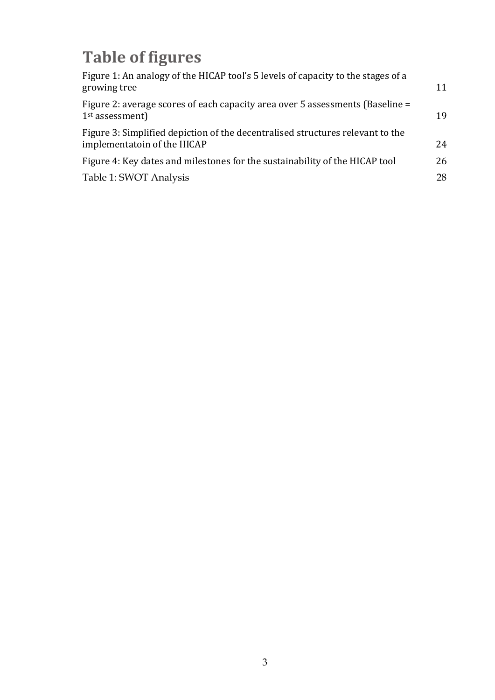# **Table of figures**

| Figure 1: An analogy of the HICAP tool's 5 levels of capacity to the stages of a<br>growing tree              | 11 |
|---------------------------------------------------------------------------------------------------------------|----|
| Figure 2: average scores of each capacity area over 5 assessments (Baseline =<br>$1st$ assessment)            | 19 |
| Figure 3: Simplified depiction of the decentralised structures relevant to the<br>implementatoin of the HICAP | 24 |
| Figure 4: Key dates and milestones for the sustainability of the HICAP tool                                   | 26 |
| Table 1: SWOT Analysis                                                                                        | 28 |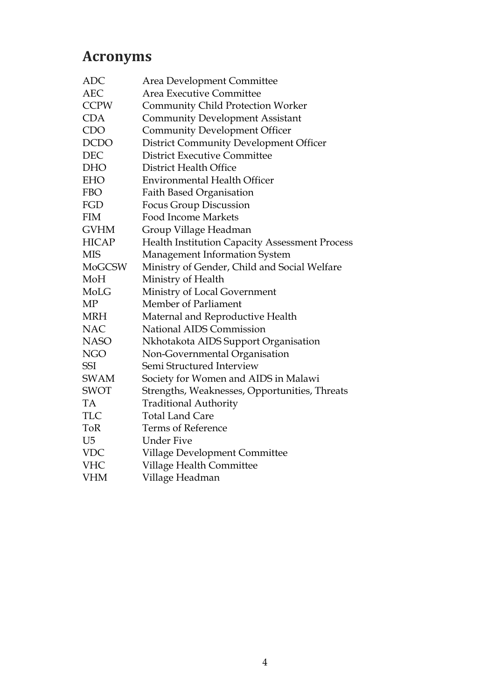## **Acronyms**

| <b>ADC</b>     | Area Development Committee                            |
|----------------|-------------------------------------------------------|
| <b>AEC</b>     | Area Executive Committee                              |
| <b>CCPW</b>    | <b>Community Child Protection Worker</b>              |
| <b>CDA</b>     | <b>Community Development Assistant</b>                |
| <b>CDO</b>     | <b>Community Development Officer</b>                  |
| <b>DCDO</b>    | <b>District Community Development Officer</b>         |
| DEC            | <b>District Executive Committee</b>                   |
| <b>DHO</b>     | District Health Office                                |
| <b>EHO</b>     | <b>Environmental Health Officer</b>                   |
| <b>FBO</b>     | <b>Faith Based Organisation</b>                       |
| FGD            | <b>Focus Group Discussion</b>                         |
| <b>FIM</b>     | <b>Food Income Markets</b>                            |
| <b>GVHM</b>    | Group Village Headman                                 |
| <b>HICAP</b>   | <b>Health Institution Capacity Assessment Process</b> |
| <b>MIS</b>     | Management Information System                         |
| <b>MoGCSW</b>  | Ministry of Gender, Child and Social Welfare          |
| MoH            | Ministry of Health                                    |
| MoLG           | Ministry of Local Government                          |
| MP             | Member of Parliament                                  |
| <b>MRH</b>     | Maternal and Reproductive Health                      |
| <b>NAC</b>     | National AIDS Commission                              |
| <b>NASO</b>    | Nkhotakota AIDS Support Organisation                  |
| <b>NGO</b>     | Non-Governmental Organisation                         |
| <b>SSI</b>     | Semi Structured Interview                             |
| <b>SWAM</b>    | Society for Women and AIDS in Malawi                  |
| <b>SWOT</b>    | Strengths, Weaknesses, Opportunities, Threats         |
| <b>TA</b>      | <b>Traditional Authority</b>                          |
| <b>TLC</b>     | <b>Total Land Care</b>                                |
| <b>ToR</b>     | <b>Terms of Reference</b>                             |
| U <sub>5</sub> | <b>Under Five</b>                                     |
| <b>VDC</b>     | Village Development Committee                         |
| <b>VHC</b>     | Village Health Committee                              |
| <b>VHM</b>     | Village Headman                                       |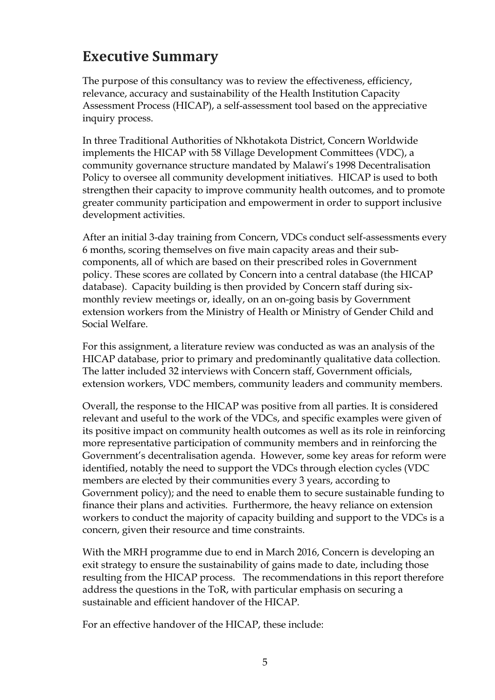## **Executive Summary**

The purpose of this consultancy was to review the effectiveness, efficiency, relevance, accuracy and sustainability of the Health Institution Capacity Assessment Process (HICAP), a self-assessment tool based on the appreciative inquiry process.

In three Traditional Authorities of Nkhotakota District, Concern Worldwide implements the HICAP with 58 Village Development Committees (VDC), a community governance structure mandated by Malawi's 1998 Decentralisation Policy to oversee all community development initiatives. HICAP is used to both strengthen their capacity to improve community health outcomes, and to promote greater community participation and empowerment in order to support inclusive development activities.

After an initial 3-day training from Concern, VDCs conduct self-assessments every 6 months, scoring themselves on five main capacity areas and their subcomponents, all of which are based on their prescribed roles in Government policy. These scores are collated by Concern into a central database (the HICAP database). Capacity building is then provided by Concern staff during sixmonthly review meetings or, ideally, on an on-going basis by Government extension workers from the Ministry of Health or Ministry of Gender Child and Social Welfare.

For this assignment, a literature review was conducted as was an analysis of the HICAP database, prior to primary and predominantly qualitative data collection. The latter included 32 interviews with Concern staff, Government officials, extension workers, VDC members, community leaders and community members.

Overall, the response to the HICAP was positive from all parties. It is considered relevant and useful to the work of the VDCs, and specific examples were given of its positive impact on community health outcomes as well as its role in reinforcing more representative participation of community members and in reinforcing the Government's decentralisation agenda. However, some key areas for reform were identified, notably the need to support the VDCs through election cycles (VDC members are elected by their communities every 3 years, according to Government policy); and the need to enable them to secure sustainable funding to finance their plans and activities. Furthermore, the heavy reliance on extension workers to conduct the majority of capacity building and support to the VDCs is a concern, given their resource and time constraints.

With the MRH programme due to end in March 2016, Concern is developing an exit strategy to ensure the sustainability of gains made to date, including those resulting from the HICAP process. The recommendations in this report therefore address the questions in the ToR, with particular emphasis on securing a sustainable and efficient handover of the HICAP.

For an effective handover of the HICAP, these include: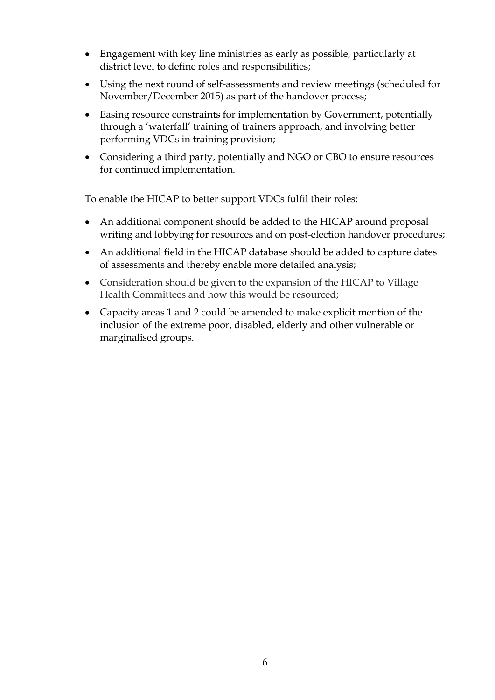- Engagement with key line ministries as early as possible, particularly at district level to define roles and responsibilities;
- Using the next round of self-assessments and review meetings (scheduled for November/December 2015) as part of the handover process;
- Easing resource constraints for implementation by Government, potentially through a 'waterfall' training of trainers approach, and involving better performing VDCs in training provision;
- Considering a third party, potentially and NGO or CBO to ensure resources for continued implementation.

To enable the HICAP to better support VDCs fulfil their roles:

- An additional component should be added to the HICAP around proposal writing and lobbying for resources and on post-election handover procedures;
- An additional field in the HICAP database should be added to capture dates of assessments and thereby enable more detailed analysis;
- Consideration should be given to the expansion of the HICAP to Village Health Committees and how this would be resourced;
- Capacity areas 1 and 2 could be amended to make explicit mention of the inclusion of the extreme poor, disabled, elderly and other vulnerable or marginalised groups.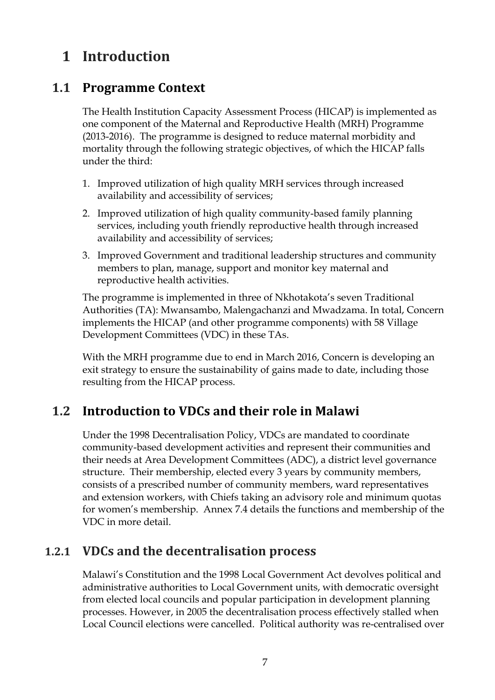## **1 Introduction**

## **1.1 Programme Context**

The Health Institution Capacity Assessment Process (HICAP) is implemented as one component of the Maternal and Reproductive Health (MRH) Programme (2013-2016). The programme is designed to reduce maternal morbidity and mortality through the following strategic objectives, of which the HICAP falls under the third:

- 1. Improved utilization of high quality MRH services through increased availability and accessibility of services;
- 2. Improved utilization of high quality community-based family planning services, including youth friendly reproductive health through increased availability and accessibility of services;
- 3. Improved Government and traditional leadership structures and community members to plan, manage, support and monitor key maternal and reproductive health activities.

The programme is implemented in three of Nkhotakota's seven Traditional Authorities (TA): Mwansambo, Malengachanzi and Mwadzama. In total, Concern implements the HICAP (and other programme components) with 58 Village Development Committees (VDC) in these TAs.

With the MRH programme due to end in March 2016, Concern is developing an exit strategy to ensure the sustainability of gains made to date, including those resulting from the HICAP process.

## **1.2 Introduction to VDCs and their role in Malawi**

Under the 1998 Decentralisation Policy, VDCs are mandated to coordinate community-based development activities and represent their communities and their needs at Area Development Committees (ADC), a district level governance structure. Their membership, elected every 3 years by community members, consists of a prescribed number of community members, ward representatives and extension workers, with Chiefs taking an advisory role and minimum quotas for women's membership. Annex 7.4 details the functions and membership of the VDC in more detail.

## **1.2.1 VDCs and the decentralisation process**

Malawi's Constitution and the 1998 Local Government Act devolves political and administrative authorities to Local Government units, with democratic oversight from elected local councils and popular participation in development planning processes. However, in 2005 the decentralisation process effectively stalled when Local Council elections were cancelled. Political authority was re-centralised over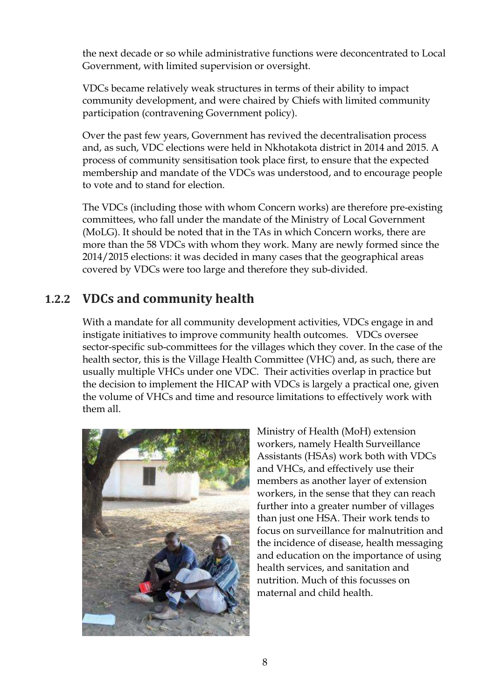the next decade or so while administrative functions were deconcentrated to Local Government, with limited supervision or oversight.

VDCs became relatively weak structures in terms of their ability to impact community development, and were chaired by Chiefs with limited community participation (contravening Government policy).

Over the past few years, Government has revived the decentralisation process and, as such, VDC elections were held in Nkhotakota district in 2014 and 2015. A process of community sensitisation took place first, to ensure that the expected membership and mandate of the VDCs was understood, and to encourage people to vote and to stand for election.

The VDCs (including those with whom Concern works) are therefore pre-existing committees, who fall under the mandate of the Ministry of Local Government (MoLG). It should be noted that in the TAs in which Concern works, there are more than the 58 VDCs with whom they work. Many are newly formed since the 2014/2015 elections: it was decided in many cases that the geographical areas covered by VDCs were too large and therefore they sub-divided.

## **1.2.2 VDCs and community health**

With a mandate for all community development activities, VDCs engage in and instigate initiatives to improve community health outcomes. VDCs oversee sector-specific sub-committees for the villages which they cover. In the case of the health sector, this is the Village Health Committee (VHC) and, as such, there are usually multiple VHCs under one VDC. Their activities overlap in practice but the decision to implement the HICAP with VDCs is largely a practical one, given the volume of VHCs and time and resource limitations to effectively work with them all.



Ministry of Health (MoH) extension workers, namely Health Surveillance Assistants (HSAs) work both with VDCs and VHCs, and effectively use their members as another layer of extension workers, in the sense that they can reach further into a greater number of villages than just one HSA. Their work tends to focus on surveillance for malnutrition and the incidence of disease, health messaging and education on the importance of using health services, and sanitation and nutrition. Much of this focusses on maternal and child health.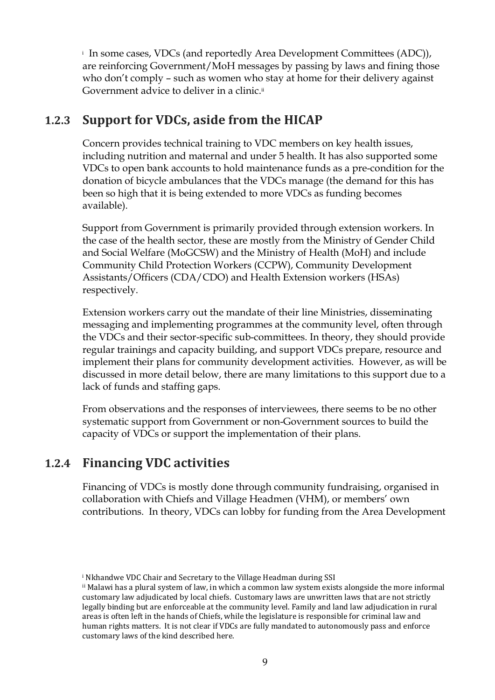i In some cases, VDCs (and reportedly Area Development Committees (ADC)), are reinforcing Government/MoH messages by passing by laws and fining those who don't comply – such as women who stay at home for their delivery against Government advice to deliver in a clinic.ii

## **1.2.3 Support for VDCs, aside from the HICAP**

Concern provides technical training to VDC members on key health issues, including nutrition and maternal and under 5 health. It has also supported some VDCs to open bank accounts to hold maintenance funds as a pre-condition for the donation of bicycle ambulances that the VDCs manage (the demand for this has been so high that it is being extended to more VDCs as funding becomes available).

Support from Government is primarily provided through extension workers. In the case of the health sector, these are mostly from the Ministry of Gender Child and Social Welfare (MoGCSW) and the Ministry of Health (MoH) and include Community Child Protection Workers (CCPW), Community Development Assistants/Officers (CDA/CDO) and Health Extension workers (HSAs) respectively.

Extension workers carry out the mandate of their line Ministries, disseminating messaging and implementing programmes at the community level, often through the VDCs and their sector-specific sub-committees. In theory, they should provide regular trainings and capacity building, and support VDCs prepare, resource and implement their plans for community development activities. However, as will be discussed in more detail below, there are many limitations to this support due to a lack of funds and staffing gaps.

From observations and the responses of interviewees, there seems to be no other systematic support from Government or non-Government sources to build the capacity of VDCs or support the implementation of their plans.

## **1.2.4 Financing VDC activities**

Financing of VDCs is mostly done through community fundraising, organised in collaboration with Chiefs and Village Headmen (VHM), or members' own contributions. In theory, VDCs can lobby for funding from the Area Development

i Nkhandwe VDC Chair and Secretary to the Village Headman during SSI

ii Malawi has a plural system of law, in which a common law system exists alongside the more informal customary law adjudicated by local chiefs. Customary laws are unwritten laws that are not strictly legally binding but are enforceable at the community level. Family and land law adjudication in rural areas is often left in the hands of Chiefs, while the legislature is responsible for criminal law and human rights matters. It is not clear if VDCs are fully mandated to autonomously pass and enforce customary laws of the kind described here.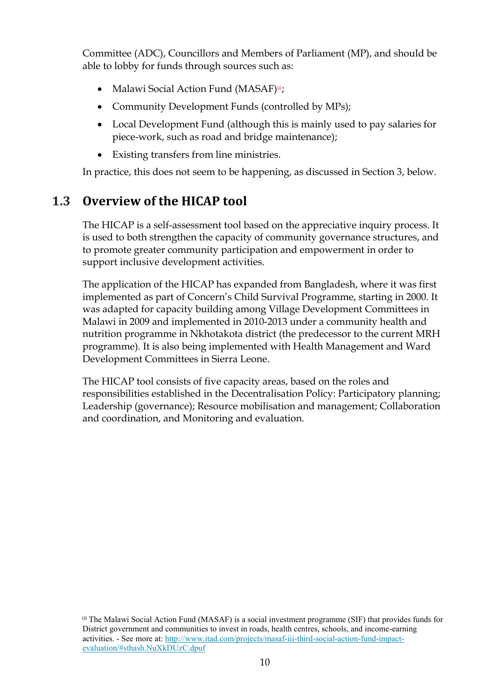Committee (ADC), Councillors and Members of Parliament (MP), and should be able to lobby for funds through sources such as:

- Malawi Social Action Fund (MASAF)iii;
- Community Development Funds (controlled by MPs);
- Local Development Fund (although this is mainly used to pay salaries for piece-work, such as road and bridge maintenance);
- Existing transfers from line ministries.

In practice, this does not seem to be happening, as discussed in Section 3, below.

## **1.3 Overview of the HICAP tool**

The HICAP is a self-assessment tool based on the appreciative inquiry process. It is used to both strengthen the capacity of community governance structures, and to promote greater community participation and empowerment in order to support inclusive development activities.

The application of the HICAP has expanded from Bangladesh, where it was first implemented as part of Concern's Child Survival Programme, starting in 2000. It was adapted for capacity building among Village Development Committees in Malawi in 2009 and implemented in 2010-2013 under a community health and nutrition programme in Nkhotakota district (the predecessor to the current MRH programme). It is also being implemented with Health Management and Ward Development Committees in Sierra Leone.

The HICAP tool consists of five capacity areas, based on the roles and responsibilities established in the Decentralisation Policy: Participatory planning; Leadership (governance); Resource mobilisation and management; Collaboration and coordination, and Monitoring and evaluation.

iii The Malawi Social Action Fund (MASAF) is a social investment programme (SIF) that provides funds for District government and communities to invest in roads, health centres, schools, and income-earning activities. - See more at: http://www.itad.com/projects/masaf-iii-third-social-action-fund-impactevaluation/#sthash.NuXkDUzC.dpuf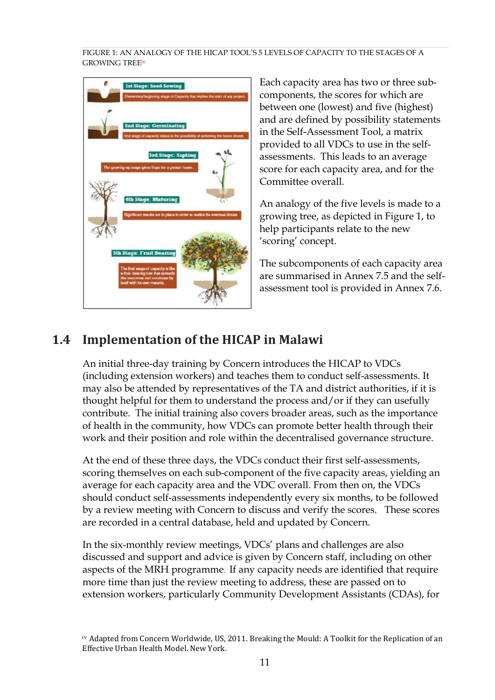FIGURE 1: AN ANALOGY OF THE HICAP TOOL'S 5 LEVELS OF CAPACITY TO THE STAGES OF A GROWING TREEiv



Each capacity area has two or three subcomponents, the scores for which are between one (lowest) and five (highest) and are defined by possibility statements in the Self-Assessment Tool, a matrix provided to all VDCs to use in the selfassessments. This leads to an average score for each capacity area, and for the Committee overall.

An analogy of the five levels is made to a growing tree, as depicted in Figure 1, to help participants relate to the new 'scoring' concept.

The subcomponents of each capacity area are summarised in Annex 7.5 and the selfassessment tool is provided in Annex 7.6.

## **1.4 Implementation of the HICAP in Malawi**

An initial three-day training by Concern introduces the HICAP to VDCs (including extension workers) and teaches them to conduct self-assessments. It may also be attended by representatives of the TA and district authorities, if it is thought helpful for them to understand the process and/or if they can usefully contribute. The initial training also covers broader areas, such as the importance of health in the community, how VDCs can promote better health through their work and their position and role within the decentralised governance structure.

At the end of these three days, the VDCs conduct their first self-assessments, scoring themselves on each sub-component of the five capacity areas, yielding an average for each capacity area and the VDC overall. From then on, the VDCs should conduct self-assessments independently every six months, to be followed by a review meeting with Concern to discuss and verify the scores. These scores are recorded in a central database, held and updated by Concern.

In the six-monthly review meetings, VDCs' plans and challenges are also discussed and support and advice is given by Concern staff, including on other aspects of the MRH programme. If any capacity needs are identified that require more time than just the review meeting to address, these are passed on to extension workers, particularly Community Development Assistants (CDAs), for

iv Adapted from Concern Worldwide, US, 2011. Breaking the Mould: A Toolkit for the Replication of an Effective Urban Health Model. New York.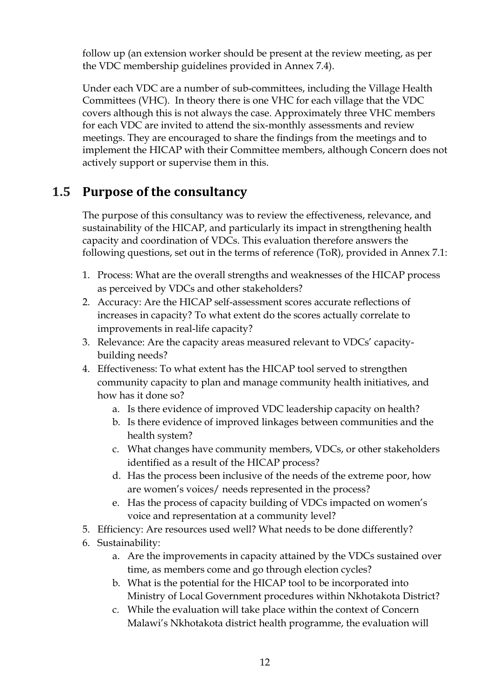follow up (an extension worker should be present at the review meeting, as per the VDC membership guidelines provided in Annex 7.4).

Under each VDC are a number of sub-committees, including the Village Health Committees (VHC). In theory there is one VHC for each village that the VDC covers although this is not always the case. Approximately three VHC members for each VDC are invited to attend the six-monthly assessments and review meetings. They are encouraged to share the findings from the meetings and to implement the HICAP with their Committee members, although Concern does not actively support or supervise them in this.

## **1.5 Purpose of the consultancy**

The purpose of this consultancy was to review the effectiveness, relevance, and sustainability of the HICAP, and particularly its impact in strengthening health capacity and coordination of VDCs. This evaluation therefore answers the following questions, set out in the terms of reference (ToR), provided in Annex 7.1:

- 1. Process: What are the overall strengths and weaknesses of the HICAP process as perceived by VDCs and other stakeholders?
- 2. Accuracy: Are the HICAP self-assessment scores accurate reflections of increases in capacity? To what extent do the scores actually correlate to improvements in real-life capacity?
- 3. Relevance: Are the capacity areas measured relevant to VDCs' capacitybuilding needs?
- 4. Effectiveness: To what extent has the HICAP tool served to strengthen community capacity to plan and manage community health initiatives, and how has it done so?
	- a. Is there evidence of improved VDC leadership capacity on health?
	- b. Is there evidence of improved linkages between communities and the health system?
	- c. What changes have community members, VDCs, or other stakeholders identified as a result of the HICAP process?
	- d. Has the process been inclusive of the needs of the extreme poor, how are women's voices/ needs represented in the process?
	- e. Has the process of capacity building of VDCs impacted on women's voice and representation at a community level?
- 5. Efficiency: Are resources used well? What needs to be done differently?
- 6. Sustainability:
	- a. Are the improvements in capacity attained by the VDCs sustained over time, as members come and go through election cycles?
	- b. What is the potential for the HICAP tool to be incorporated into Ministry of Local Government procedures within Nkhotakota District?
	- c. While the evaluation will take place within the context of Concern Malawi's Nkhotakota district health programme, the evaluation will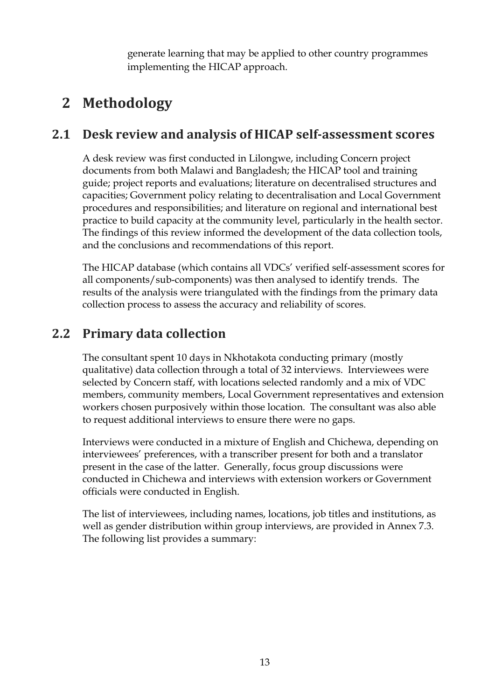generate learning that may be applied to other country programmes implementing the HICAP approach.

## **2 Methodology**

## **2.1 Desk review and analysis of HICAP self-assessment scores**

A desk review was first conducted in Lilongwe, including Concern project documents from both Malawi and Bangladesh; the HICAP tool and training guide; project reports and evaluations; literature on decentralised structures and capacities; Government policy relating to decentralisation and Local Government procedures and responsibilities; and literature on regional and international best practice to build capacity at the community level, particularly in the health sector. The findings of this review informed the development of the data collection tools, and the conclusions and recommendations of this report.

The HICAP database (which contains all VDCs' verified self-assessment scores for all components/sub-components) was then analysed to identify trends. The results of the analysis were triangulated with the findings from the primary data collection process to assess the accuracy and reliability of scores.

## **2.2 Primary data collection**

The consultant spent 10 days in Nkhotakota conducting primary (mostly qualitative) data collection through a total of 32 interviews. Interviewees were selected by Concern staff, with locations selected randomly and a mix of VDC members, community members, Local Government representatives and extension workers chosen purposively within those location. The consultant was also able to request additional interviews to ensure there were no gaps.

Interviews were conducted in a mixture of English and Chichewa, depending on interviewees' preferences, with a transcriber present for both and a translator present in the case of the latter. Generally, focus group discussions were conducted in Chichewa and interviews with extension workers or Government officials were conducted in English.

The list of interviewees, including names, locations, job titles and institutions, as well as gender distribution within group interviews, are provided in Annex 7.3. The following list provides a summary: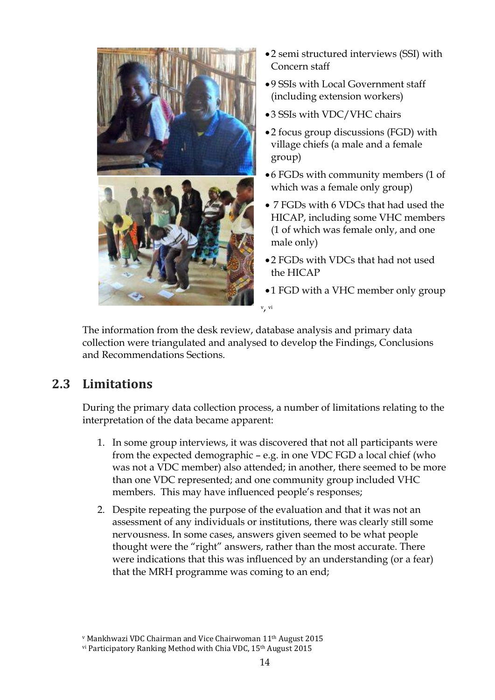

- 2 semi structured interviews (SSI) with Concern staff
- 9 SSIs with Local Government staff (including extension workers)
- 3 SSIs with VDC/VHC chairs
- 2 focus group discussions (FGD) with village chiefs (a male and a female group)
- 6 FGDs with community members (1 of which was a female only group)
- 7 FGDs with 6 VDCs that had used the HICAP, including some VHC members (1 of which was female only, and one male only)
- 2 FGDs with VDCs that had not used the HICAP
- •1 FGD with a VHC member only group

The information from the desk review, database analysis and primary data collection were triangulated and analysed to develop the Findings, Conclusions and Recommendations Sections.

## **2.3 Limitations**

During the primary data collection process, a number of limitations relating to the interpretation of the data became apparent:

- 1. In some group interviews, it was discovered that not all participants were from the expected demographic – e.g. in one VDC FGD a local chief (who was not a VDC member) also attended; in another, there seemed to be more than one VDC represented; and one community group included VHC members. This may have influenced people's responses;
- 2. Despite repeating the purpose of the evaluation and that it was not an assessment of any individuals or institutions, there was clearly still some nervousness. In some cases, answers given seemed to be what people thought were the "right" answers, rather than the most accurate. There were indications that this was influenced by an understanding (or a fear) that the MRH programme was coming to an end;

v Mankhwazi VDC Chairman and Vice Chairwoman 11th August 2015

vi Participatory Ranking Method with Chia VDC, 15<sup>th</sup> August 2015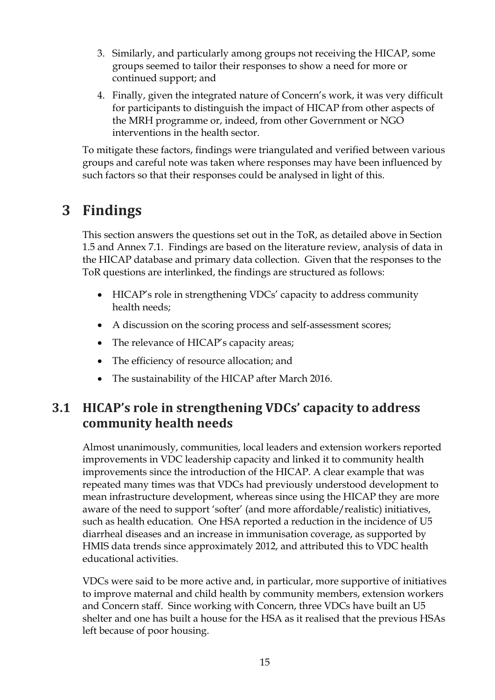- 3. Similarly, and particularly among groups not receiving the HICAP, some groups seemed to tailor their responses to show a need for more or continued support; and
- 4. Finally, given the integrated nature of Concern's work, it was very difficult for participants to distinguish the impact of HICAP from other aspects of the MRH programme or, indeed, from other Government or NGO interventions in the health sector.

To mitigate these factors, findings were triangulated and verified between various groups and careful note was taken where responses may have been influenced by such factors so that their responses could be analysed in light of this.

## **3 Findings**

This section answers the questions set out in the ToR, as detailed above in Section 1.5 and Annex 7.1. Findings are based on the literature review, analysis of data in the HICAP database and primary data collection. Given that the responses to the ToR questions are interlinked, the findings are structured as follows:

- HICAP's role in strengthening VDCs' capacity to address community health needs;
- A discussion on the scoring process and self-assessment scores;
- The relevance of HICAP's capacity areas;
- The efficiency of resource allocation; and
- The sustainability of the HICAP after March 2016.

## **3.1 HICAP's role in strengthening VDCs' capacity to address community health needs**

Almost unanimously, communities, local leaders and extension workers reported improvements in VDC leadership capacity and linked it to community health improvements since the introduction of the HICAP. A clear example that was repeated many times was that VDCs had previously understood development to mean infrastructure development, whereas since using the HICAP they are more aware of the need to support 'softer' (and more affordable/realistic) initiatives, such as health education. One HSA reported a reduction in the incidence of U5 diarrheal diseases and an increase in immunisation coverage, as supported by HMIS data trends since approximately 2012, and attributed this to VDC health educational activities.

VDCs were said to be more active and, in particular, more supportive of initiatives to improve maternal and child health by community members, extension workers and Concern staff. Since working with Concern, three VDCs have built an U5 shelter and one has built a house for the HSA as it realised that the previous HSAs left because of poor housing.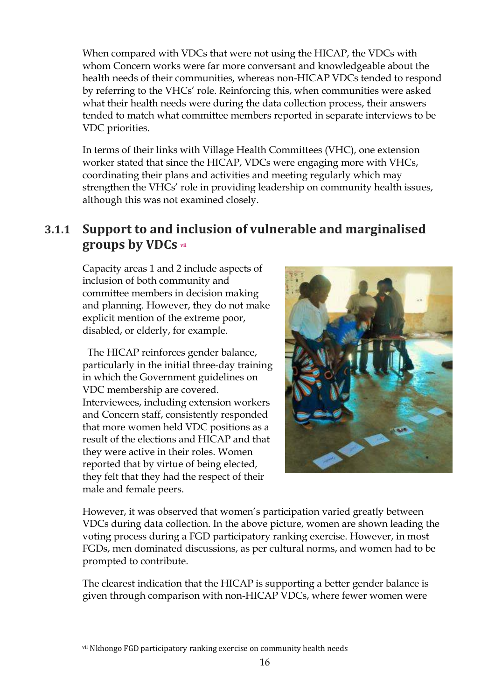When compared with VDCs that were not using the HICAP, the VDCs with whom Concern works were far more conversant and knowledgeable about the health needs of their communities, whereas non-HICAP VDCs tended to respond by referring to the VHCs' role. Reinforcing this, when communities were asked what their health needs were during the data collection process, their answers tended to match what committee members reported in separate interviews to be VDC priorities.

In terms of their links with Village Health Committees (VHC), one extension worker stated that since the HICAP, VDCs were engaging more with VHCs, coordinating their plans and activities and meeting regularly which may strengthen the VHCs' role in providing leadership on community health issues, although this was not examined closely.

## **3.1.1 Support to and inclusion of vulnerable and marginalised groups by VDCs vii**

Capacity areas 1 and 2 include aspects of inclusion of both community and committee members in decision making and planning. However, they do not make explicit mention of the extreme poor, disabled, or elderly, for example.

 The HICAP reinforces gender balance, particularly in the initial three-day training in which the Government guidelines on VDC membership are covered. Interviewees, including extension workers and Concern staff, consistently responded that more women held VDC positions as a result of the elections and HICAP and that they were active in their roles. Women reported that by virtue of being elected, they felt that they had the respect of their male and female peers.



However, it was observed that women's participation varied greatly between VDCs during data collection. In the above picture, women are shown leading the voting process during a FGD participatory ranking exercise. However, in most FGDs, men dominated discussions, as per cultural norms, and women had to be prompted to contribute.

The clearest indication that the HICAP is supporting a better gender balance is given through comparison with non-HICAP VDCs, where fewer women were

vii Nkhongo FGD participatory ranking exercise on community health needs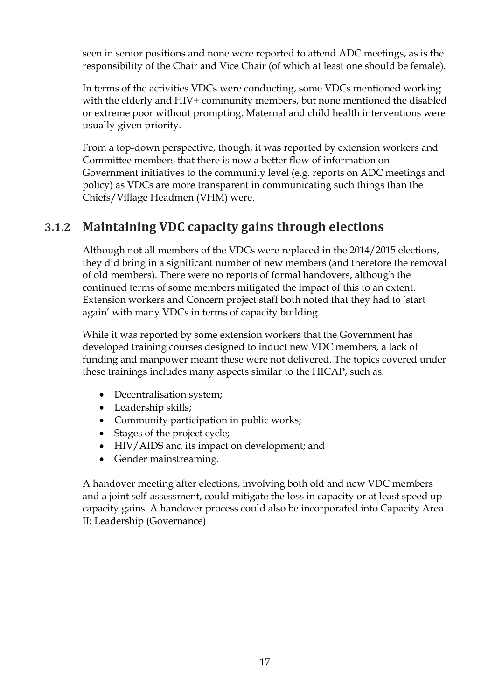seen in senior positions and none were reported to attend ADC meetings, as is the responsibility of the Chair and Vice Chair (of which at least one should be female).

In terms of the activities VDCs were conducting, some VDCs mentioned working with the elderly and HIV+ community members, but none mentioned the disabled or extreme poor without prompting. Maternal and child health interventions were usually given priority.

From a top-down perspective, though, it was reported by extension workers and Committee members that there is now a better flow of information on Government initiatives to the community level (e.g. reports on ADC meetings and policy) as VDCs are more transparent in communicating such things than the Chiefs/Village Headmen (VHM) were.

## **3.1.2 Maintaining VDC capacity gains through elections**

Although not all members of the VDCs were replaced in the 2014/2015 elections, they did bring in a significant number of new members (and therefore the removal of old members). There were no reports of formal handovers, although the continued terms of some members mitigated the impact of this to an extent. Extension workers and Concern project staff both noted that they had to 'start again' with many VDCs in terms of capacity building.

While it was reported by some extension workers that the Government has developed training courses designed to induct new VDC members, a lack of funding and manpower meant these were not delivered. The topics covered under these trainings includes many aspects similar to the HICAP, such as:

- Decentralisation system;
- Leadership skills;
- Community participation in public works;
- Stages of the project cycle;
- HIV/AIDS and its impact on development; and
- Gender mainstreaming.

A handover meeting after elections, involving both old and new VDC members and a joint self-assessment, could mitigate the loss in capacity or at least speed up capacity gains. A handover process could also be incorporated into Capacity Area II: Leadership (Governance)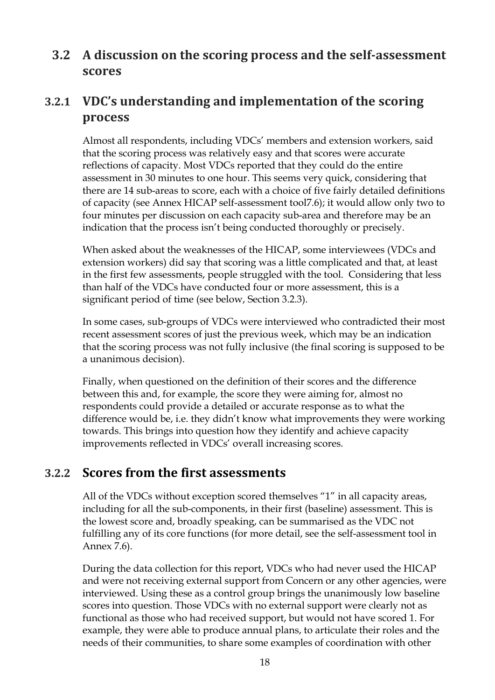## **3.2 A discussion on the scoring process and the self-assessment scores**

## **3.2.1 VDC's understanding and implementation of the scoring process**

Almost all respondents, including VDCs' members and extension workers, said that the scoring process was relatively easy and that scores were accurate reflections of capacity. Most VDCs reported that they could do the entire assessment in 30 minutes to one hour. This seems very quick, considering that there are 14 sub-areas to score, each with a choice of five fairly detailed definitions of capacity (see Annex HICAP self-assessment tool7.6); it would allow only two to four minutes per discussion on each capacity sub-area and therefore may be an indication that the process isn't being conducted thoroughly or precisely.

When asked about the weaknesses of the HICAP, some interviewees (VDCs and extension workers) did say that scoring was a little complicated and that, at least in the first few assessments, people struggled with the tool. Considering that less than half of the VDCs have conducted four or more assessment, this is a significant period of time (see below, Section 3.2.3).

In some cases, sub-groups of VDCs were interviewed who contradicted their most recent assessment scores of just the previous week, which may be an indication that the scoring process was not fully inclusive (the final scoring is supposed to be a unanimous decision).

Finally, when questioned on the definition of their scores and the difference between this and, for example, the score they were aiming for, almost no respondents could provide a detailed or accurate response as to what the difference would be, i.e. they didn't know what improvements they were working towards. This brings into question how they identify and achieve capacity improvements reflected in VDCs' overall increasing scores.

### **3.2.2 Scores from the first assessments**

All of the VDCs without exception scored themselves "1" in all capacity areas, including for all the sub-components, in their first (baseline) assessment. This is the lowest score and, broadly speaking, can be summarised as the VDC not fulfilling any of its core functions (for more detail, see the self-assessment tool in Annex 7.6).

During the data collection for this report, VDCs who had never used the HICAP and were not receiving external support from Concern or any other agencies, were interviewed. Using these as a control group brings the unanimously low baseline scores into question. Those VDCs with no external support were clearly not as functional as those who had received support, but would not have scored 1. For example, they were able to produce annual plans, to articulate their roles and the needs of their communities, to share some examples of coordination with other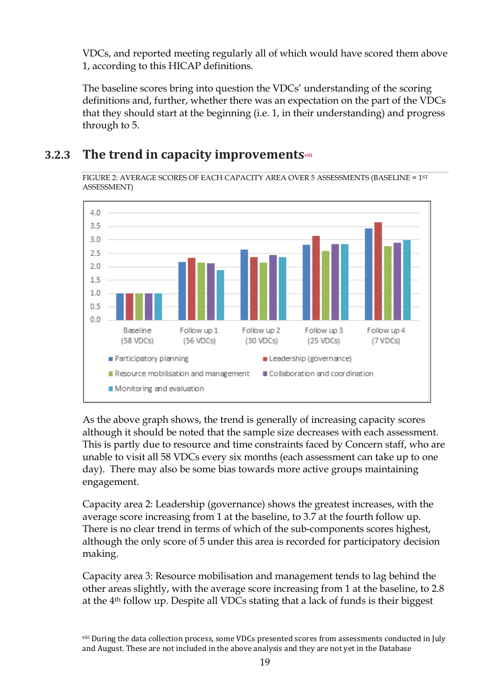VDCs, and reported meeting regularly all of which would have scored them above 1, according to this HICAP definitions.

The baseline scores bring into question the VDCs' understanding of the scoring definitions and, further, whether there was an expectation on the part of the VDCs that they should start at the beginning (i.e. 1, in their understanding) and progress through to 5.

## **3.2.3 The trend in capacity improvementsviii**

FIGURE 2: AVERAGE SCORES OF EACH CAPACITY AREA OVER 5 ASSESSMENTS (BASELINE = 1ST ASSESSMENT)



As the above graph shows, the trend is generally of increasing capacity scores although it should be noted that the sample size decreases with each assessment. This is partly due to resource and time constraints faced by Concern staff, who are unable to visit all 58 VDCs every six months (each assessment can take up to one day). There may also be some bias towards more active groups maintaining engagement.

Capacity area 2: Leadership (governance) shows the greatest increases, with the average score increasing from 1 at the baseline, to 3.7 at the fourth follow up. There is no clear trend in terms of which of the sub-components scores highest, although the only score of 5 under this area is recorded for participatory decision making.

Capacity area 3: Resource mobilisation and management tends to lag behind the other areas slightly, with the average score increasing from 1 at the baseline, to 2.8 at the 4th follow up. Despite all VDCs stating that a lack of funds is their biggest

viii During the data collection process, some VDCs presented scores from assessments conducted in July and August. These are not included in the above analysis and they are not yet in the Database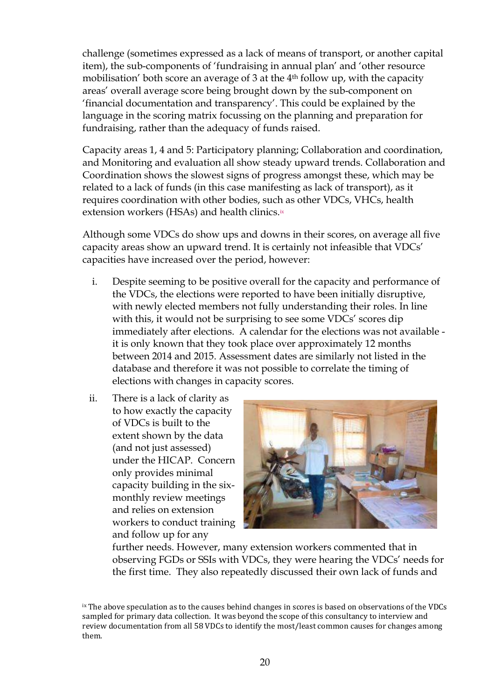challenge (sometimes expressed as a lack of means of transport, or another capital item), the sub-components of 'fundraising in annual plan' and 'other resource mobilisation' both score an average of 3 at the 4th follow up, with the capacity areas' overall average score being brought down by the sub-component on 'financial documentation and transparency'. This could be explained by the language in the scoring matrix focussing on the planning and preparation for fundraising, rather than the adequacy of funds raised.

Capacity areas 1, 4 and 5: Participatory planning; Collaboration and coordination, and Monitoring and evaluation all show steady upward trends. Collaboration and Coordination shows the slowest signs of progress amongst these, which may be related to a lack of funds (in this case manifesting as lack of transport), as it requires coordination with other bodies, such as other VDCs, VHCs, health extension workers (HSAs) and health clinics.ix

Although some VDCs do show ups and downs in their scores, on average all five capacity areas show an upward trend. It is certainly not infeasible that VDCs' capacities have increased over the period, however:

- i. Despite seeming to be positive overall for the capacity and performance of the VDCs, the elections were reported to have been initially disruptive, with newly elected members not fully understanding their roles. In line with this, it would not be surprising to see some VDCs' scores dip immediately after elections. A calendar for the elections was not available it is only known that they took place over approximately 12 months between 2014 and 2015. Assessment dates are similarly not listed in the database and therefore it was not possible to correlate the timing of elections with changes in capacity scores.
- ii. There is a lack of clarity as to how exactly the capacity of VDCs is built to the extent shown by the data (and not just assessed) under the HICAP. Concern only provides minimal capacity building in the sixmonthly review meetings and relies on extension workers to conduct training and follow up for any



further needs. However, many extension workers commented that in observing FGDs or SSIs with VDCs, they were hearing the VDCs' needs for the first time. They also repeatedly discussed their own lack of funds and

ix The above speculation as to the causes behind changes in scores is based on observations of the VDCs sampled for primary data collection. It was beyond the scope of this consultancy to interview and review documentation from all 58 VDCs to identify the most/least common causes for changes among them.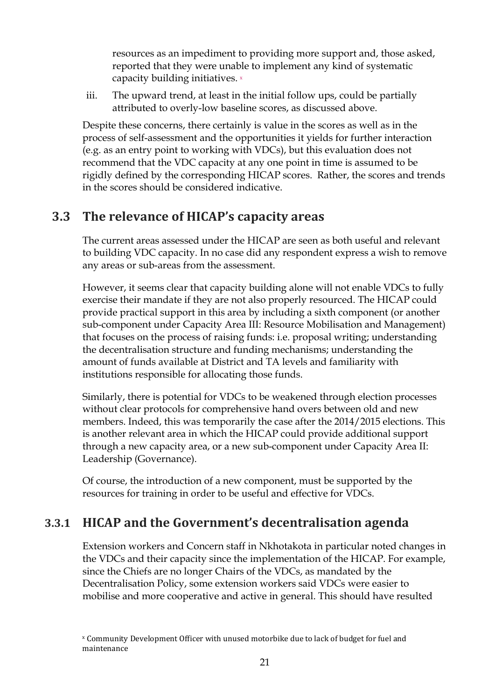resources as an impediment to providing more support and, those asked, reported that they were unable to implement any kind of systematic capacity building initiatives. <sup>x</sup>

iii. The upward trend, at least in the initial follow ups, could be partially attributed to overly-low baseline scores, as discussed above.

Despite these concerns, there certainly is value in the scores as well as in the process of self-assessment and the opportunities it yields for further interaction (e.g. as an entry point to working with VDCs), but this evaluation does not recommend that the VDC capacity at any one point in time is assumed to be rigidly defined by the corresponding HICAP scores. Rather, the scores and trends in the scores should be considered indicative.

## **3.3 The relevance of HICAP's capacity areas**

The current areas assessed under the HICAP are seen as both useful and relevant to building VDC capacity. In no case did any respondent express a wish to remove any areas or sub-areas from the assessment.

However, it seems clear that capacity building alone will not enable VDCs to fully exercise their mandate if they are not also properly resourced. The HICAP could provide practical support in this area by including a sixth component (or another sub-component under Capacity Area III: Resource Mobilisation and Management) that focuses on the process of raising funds: i.e. proposal writing; understanding the decentralisation structure and funding mechanisms; understanding the amount of funds available at District and TA levels and familiarity with institutions responsible for allocating those funds.

Similarly, there is potential for VDCs to be weakened through election processes without clear protocols for comprehensive hand overs between old and new members. Indeed, this was temporarily the case after the 2014/2015 elections. This is another relevant area in which the HICAP could provide additional support through a new capacity area, or a new sub-component under Capacity Area II: Leadership (Governance).

Of course, the introduction of a new component, must be supported by the resources for training in order to be useful and effective for VDCs.

## **3.3.1 HICAP and the Government's decentralisation agenda**

Extension workers and Concern staff in Nkhotakota in particular noted changes in the VDCs and their capacity since the implementation of the HICAP. For example, since the Chiefs are no longer Chairs of the VDCs, as mandated by the Decentralisation Policy, some extension workers said VDCs were easier to mobilise and more cooperative and active in general. This should have resulted

x Community Development Officer with unused motorbike due to lack of budget for fuel and maintenance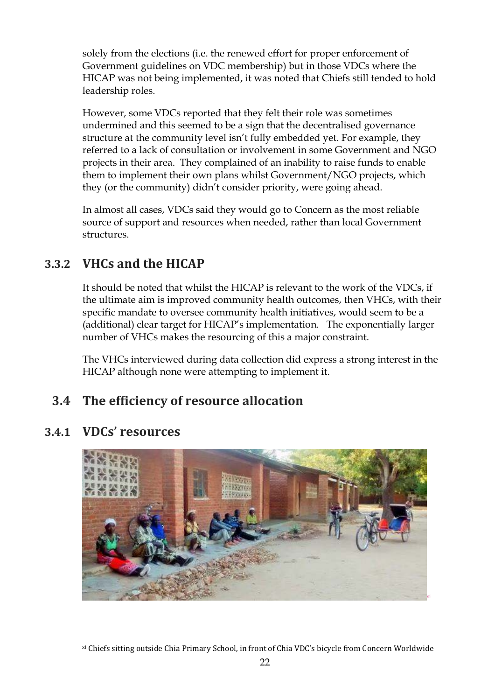solely from the elections (i.e. the renewed effort for proper enforcement of Government guidelines on VDC membership) but in those VDCs where the HICAP was not being implemented, it was noted that Chiefs still tended to hold leadership roles.

However, some VDCs reported that they felt their role was sometimes undermined and this seemed to be a sign that the decentralised governance structure at the community level isn't fully embedded yet. For example, they referred to a lack of consultation or involvement in some Government and NGO projects in their area. They complained of an inability to raise funds to enable them to implement their own plans whilst Government/NGO projects, which they (or the community) didn't consider priority, were going ahead.

In almost all cases, VDCs said they would go to Concern as the most reliable source of support and resources when needed, rather than local Government structures.

## **3.3.2 VHCs and the HICAP**

It should be noted that whilst the HICAP is relevant to the work of the VDCs, if the ultimate aim is improved community health outcomes, then VHCs, with their specific mandate to oversee community health initiatives, would seem to be a (additional) clear target for HICAP's implementation. The exponentially larger number of VHCs makes the resourcing of this a major constraint.

The VHCs interviewed during data collection did express a strong interest in the HICAP although none were attempting to implement it.

## **3.4 The efficiency of resource allocation**





xi Chiefs sitting outside Chia Primary School, in front of Chia VDC's bicycle from Concern Worldwide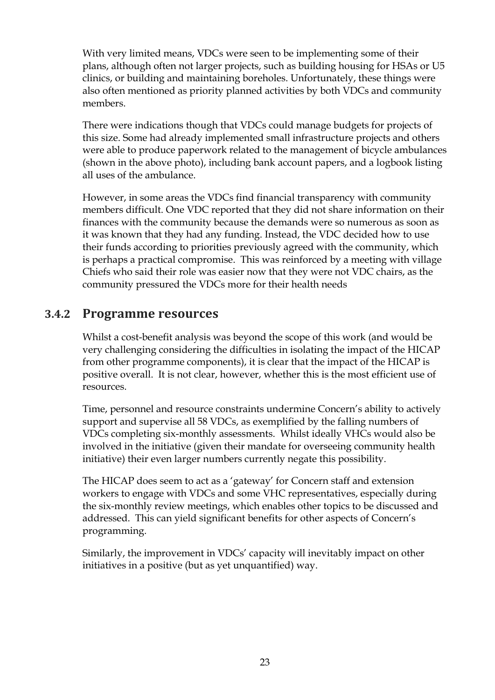With very limited means, VDCs were seen to be implementing some of their plans, although often not larger projects, such as building housing for HSAs or U5 clinics, or building and maintaining boreholes. Unfortunately, these things were also often mentioned as priority planned activities by both VDCs and community members.

There were indications though that VDCs could manage budgets for projects of this size. Some had already implemented small infrastructure projects and others were able to produce paperwork related to the management of bicycle ambulances (shown in the above photo), including bank account papers, and a logbook listing all uses of the ambulance.

However, in some areas the VDCs find financial transparency with community members difficult. One VDC reported that they did not share information on their finances with the community because the demands were so numerous as soon as it was known that they had any funding. Instead, the VDC decided how to use their funds according to priorities previously agreed with the community, which is perhaps a practical compromise. This was reinforced by a meeting with village Chiefs who said their role was easier now that they were not VDC chairs, as the community pressured the VDCs more for their health needs

### **3.4.2 Programme resources**

Whilst a cost-benefit analysis was beyond the scope of this work (and would be very challenging considering the difficulties in isolating the impact of the HICAP from other programme components), it is clear that the impact of the HICAP is positive overall. It is not clear, however, whether this is the most efficient use of resources.

Time, personnel and resource constraints undermine Concern's ability to actively support and supervise all 58 VDCs, as exemplified by the falling numbers of VDCs completing six-monthly assessments. Whilst ideally VHCs would also be involved in the initiative (given their mandate for overseeing community health initiative) their even larger numbers currently negate this possibility.

The HICAP does seem to act as a 'gateway' for Concern staff and extension workers to engage with VDCs and some VHC representatives, especially during the six-monthly review meetings, which enables other topics to be discussed and addressed. This can yield significant benefits for other aspects of Concern's programming.

Similarly, the improvement in VDCs' capacity will inevitably impact on other initiatives in a positive (but as yet unquantified) way.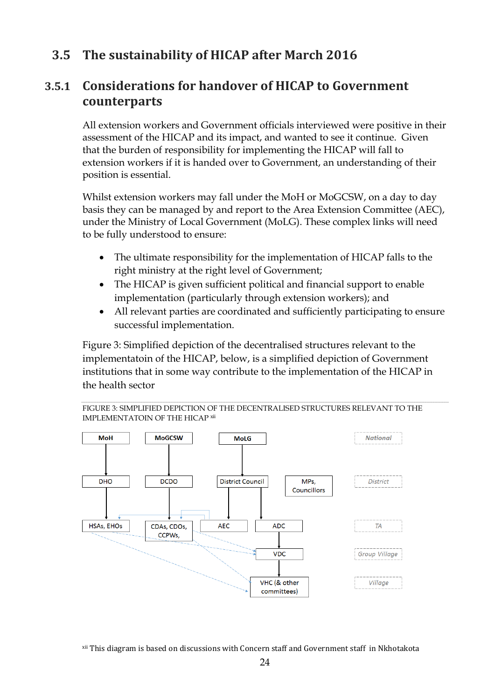## **3.5 The sustainability of HICAP after March 2016**

## **3.5.1 Considerations for handover of HICAP to Government counterparts**

All extension workers and Government officials interviewed were positive in their assessment of the HICAP and its impact, and wanted to see it continue. Given that the burden of responsibility for implementing the HICAP will fall to extension workers if it is handed over to Government, an understanding of their position is essential.

Whilst extension workers may fall under the MoH or MoGCSW, on a day to day basis they can be managed by and report to the Area Extension Committee (AEC), under the Ministry of Local Government (MoLG). These complex links will need to be fully understood to ensure:

- The ultimate responsibility for the implementation of HICAP falls to the right ministry at the right level of Government;
- The HICAP is given sufficient political and financial support to enable implementation (particularly through extension workers); and
- All relevant parties are coordinated and sufficiently participating to ensure successful implementation.

Figure 3: Simplified depiction of the decentralised structures relevant to the implementatoin of the HICAP, below, is a simplified depiction of Government institutions that in some way contribute to the implementation of the HICAP in the health sector

FIGURE 3: SIMPLIFIED DEPICTION OF THE DECENTRALISED STRUCTURES RELEVANT TO THE IMPLEMENTATOIN OF THE HICAP xii



xii This diagram is based on discussions with Concern staff and Government staff in Nkhotakota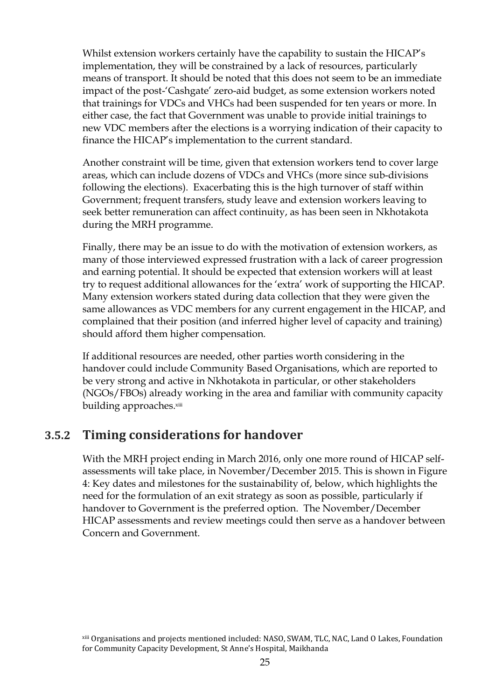Whilst extension workers certainly have the capability to sustain the HICAP's implementation, they will be constrained by a lack of resources, particularly means of transport. It should be noted that this does not seem to be an immediate impact of the post-'Cashgate' zero-aid budget, as some extension workers noted that trainings for VDCs and VHCs had been suspended for ten years or more. In either case, the fact that Government was unable to provide initial trainings to new VDC members after the elections is a worrying indication of their capacity to finance the HICAP's implementation to the current standard.

Another constraint will be time, given that extension workers tend to cover large areas, which can include dozens of VDCs and VHCs (more since sub-divisions following the elections). Exacerbating this is the high turnover of staff within Government; frequent transfers, study leave and extension workers leaving to seek better remuneration can affect continuity, as has been seen in Nkhotakota during the MRH programme.

Finally, there may be an issue to do with the motivation of extension workers, as many of those interviewed expressed frustration with a lack of career progression and earning potential. It should be expected that extension workers will at least try to request additional allowances for the 'extra' work of supporting the HICAP. Many extension workers stated during data collection that they were given the same allowances as VDC members for any current engagement in the HICAP, and complained that their position (and inferred higher level of capacity and training) should afford them higher compensation.

If additional resources are needed, other parties worth considering in the handover could include Community Based Organisations, which are reported to be very strong and active in Nkhotakota in particular, or other stakeholders (NGOs/FBOs) already working in the area and familiar with community capacity building approaches.xiii

## **3.5.2 Timing considerations for handover**

With the MRH project ending in March 2016, only one more round of HICAP selfassessments will take place, in November/December 2015. This is shown in Figure 4: Key dates and milestones for the sustainability of, below, which highlights the need for the formulation of an exit strategy as soon as possible, particularly if handover to Government is the preferred option. The November/December HICAP assessments and review meetings could then serve as a handover between Concern and Government.

xiii Organisations and projects mentioned included: NASO, SWAM, TLC, NAC, Land O Lakes, Foundation for Community Capacity Development, St Anne's Hospital, Maikhanda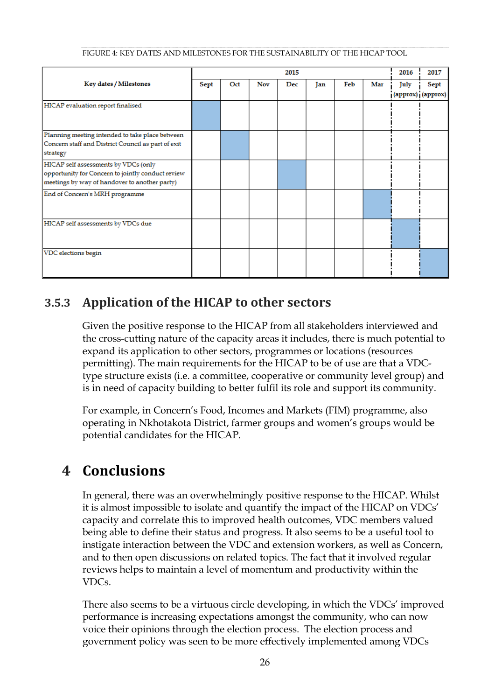|  |  | FIGURE 4: KEY DATES AND MILESTONES FOR THE SUSTAINABILITY OF THE HICAP TOOL |
|--|--|-----------------------------------------------------------------------------|

|                                                                                                                                            |      |     |            | 2015 |     |     |     | 2016                      | 2017 |
|--------------------------------------------------------------------------------------------------------------------------------------------|------|-----|------------|------|-----|-----|-----|---------------------------|------|
| Key dates / Milestones                                                                                                                     | Sept | Oct | <b>Nov</b> | Dec  | Jan | Feb | Mar | July<br>(approx) (approx) | Sept |
| HICAP evaluation report finalised                                                                                                          |      |     |            |      |     |     |     |                           |      |
| Planning meeting intended to take place between<br>Concern staff and District Council as part of exit<br>strategy                          |      |     |            |      |     |     |     |                           |      |
| HICAP self assessments by VDCs (only<br>opportunity for Concern to jointly conduct review<br>meetings by way of handover to another party) |      |     |            |      |     |     |     |                           |      |
| End of Concern's MRH programme                                                                                                             |      |     |            |      |     |     |     |                           |      |
| HICAP self assessments by VDCs due                                                                                                         |      |     |            |      |     |     |     |                           |      |
| VDC elections begin                                                                                                                        |      |     |            |      |     |     |     |                           |      |

## **3.5.3 Application of the HICAP to other sectors**

Given the positive response to the HICAP from all stakeholders interviewed and the cross-cutting nature of the capacity areas it includes, there is much potential to expand its application to other sectors, programmes or locations (resources permitting). The main requirements for the HICAP to be of use are that a VDCtype structure exists (i.e. a committee, cooperative or community level group) and is in need of capacity building to better fulfil its role and support its community.

For example, in Concern's Food, Incomes and Markets (FIM) programme, also operating in Nkhotakota District, farmer groups and women's groups would be potential candidates for the HICAP.

## **4 Conclusions**

In general, there was an overwhelmingly positive response to the HICAP. Whilst it is almost impossible to isolate and quantify the impact of the HICAP on VDCs' capacity and correlate this to improved health outcomes, VDC members valued being able to define their status and progress. It also seems to be a useful tool to instigate interaction between the VDC and extension workers, as well as Concern, and to then open discussions on related topics. The fact that it involved regular reviews helps to maintain a level of momentum and productivity within the VDCs.

There also seems to be a virtuous circle developing, in which the VDCs' improved performance is increasing expectations amongst the community, who can now voice their opinions through the election process. The election process and government policy was seen to be more effectively implemented among VDCs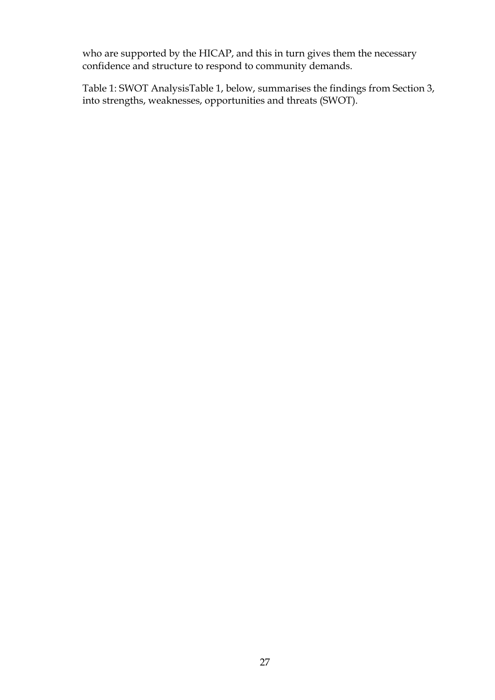who are supported by the HICAP, and this in turn gives them the necessary confidence and structure to respond to community demands.

Table 1: SWOT AnalysisTable 1, below, summarises the findings from Section 3, into strengths, weaknesses, opportunities and threats (SWOT).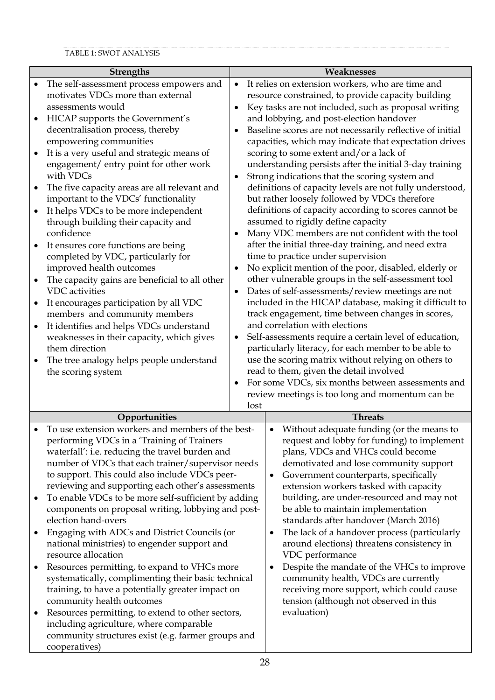|           | <b>Strengths</b>                                                                                         |                                                                                                             | Weaknesses                                                                          |  |  |
|-----------|----------------------------------------------------------------------------------------------------------|-------------------------------------------------------------------------------------------------------------|-------------------------------------------------------------------------------------|--|--|
| ٠         | The self-assessment process empowers and                                                                 | $\bullet$                                                                                                   | It relies on extension workers, who are time and                                    |  |  |
|           | motivates VDCs more than external                                                                        |                                                                                                             | resource constrained, to provide capacity building                                  |  |  |
|           | assessments would                                                                                        |                                                                                                             | Key tasks are not included, such as proposal writing                                |  |  |
|           | HICAP supports the Government's                                                                          |                                                                                                             | and lobbying, and post-election handover                                            |  |  |
|           | decentralisation process, thereby                                                                        |                                                                                                             | Baseline scores are not necessarily reflective of initial                           |  |  |
|           | empowering communities                                                                                   |                                                                                                             | capacities, which may indicate that expectation drives                              |  |  |
|           | It is a very useful and strategic means of                                                               |                                                                                                             | scoring to some extent and/or a lack of                                             |  |  |
|           | engagement/ entry point for other work                                                                   |                                                                                                             | understanding persists after the initial 3-day training                             |  |  |
|           | with VDCs                                                                                                |                                                                                                             | Strong indications that the scoring system and                                      |  |  |
|           | The five capacity areas are all relevant and                                                             |                                                                                                             | definitions of capacity levels are not fully understood,                            |  |  |
|           | important to the VDCs' functionality                                                                     |                                                                                                             | but rather loosely followed by VDCs therefore                                       |  |  |
|           | It helps VDCs to be more independent                                                                     |                                                                                                             | definitions of capacity according to scores cannot be                               |  |  |
|           | through building their capacity and                                                                      |                                                                                                             | assumed to rigidly define capacity                                                  |  |  |
|           | confidence                                                                                               |                                                                                                             | Many VDC members are not confident with the tool                                    |  |  |
|           | It ensures core functions are being                                                                      |                                                                                                             | after the initial three-day training, and need extra                                |  |  |
|           | completed by VDC, particularly for                                                                       |                                                                                                             | time to practice under supervision                                                  |  |  |
|           | improved health outcomes                                                                                 |                                                                                                             | No explicit mention of the poor, disabled, elderly or                               |  |  |
| $\bullet$ | The capacity gains are beneficial to all other<br><b>VDC</b> activities                                  |                                                                                                             | other vulnerable groups in the self-assessment tool                                 |  |  |
|           |                                                                                                          |                                                                                                             | Dates of self-assessments/review meetings are not                                   |  |  |
| $\bullet$ | It encourages participation by all VDC<br>members and community members                                  | included in the HICAP database, making it difficult to<br>track engagement, time between changes in scores, |                                                                                     |  |  |
| ٠         | It identifies and helps VDCs understand                                                                  |                                                                                                             | and correlation with elections                                                      |  |  |
|           | weaknesses in their capacity, which gives                                                                |                                                                                                             | Self-assessments require a certain level of education,                              |  |  |
|           | them direction                                                                                           |                                                                                                             | particularly literacy, for each member to be able to                                |  |  |
|           | The tree analogy helps people understand                                                                 |                                                                                                             | use the scoring matrix without relying on others to                                 |  |  |
|           | the scoring system                                                                                       |                                                                                                             | read to them, given the detail involved                                             |  |  |
|           |                                                                                                          |                                                                                                             | For some VDCs, six months between assessments and                                   |  |  |
|           |                                                                                                          |                                                                                                             | review meetings is too long and momentum can be                                     |  |  |
|           |                                                                                                          | lost                                                                                                        |                                                                                     |  |  |
|           | Opportunities                                                                                            |                                                                                                             | <b>Threats</b>                                                                      |  |  |
| $\bullet$ | To use extension workers and members of the best-                                                        |                                                                                                             |                                                                                     |  |  |
|           |                                                                                                          |                                                                                                             | Without adequate funding (or the means to<br>$\bullet$                              |  |  |
|           | performing VDCs in a 'Training of Trainers                                                               |                                                                                                             | request and lobby for funding) to implement                                         |  |  |
|           | waterfall': i.e. reducing the travel burden and                                                          |                                                                                                             | plans, VDCs and VHCs could become                                                   |  |  |
|           | number of VDCs that each trainer/supervisor needs                                                        |                                                                                                             | demotivated and lose community support                                              |  |  |
|           | to support. This could also include VDCs peer-                                                           |                                                                                                             | Government counterparts, specifically<br>$\bullet$                                  |  |  |
|           | reviewing and supporting each other's assessments                                                        |                                                                                                             | extension workers tasked with capacity                                              |  |  |
| $\bullet$ | To enable VDCs to be more self-sufficient by adding                                                      |                                                                                                             | building, are under-resourced and may not                                           |  |  |
|           | components on proposal writing, lobbying and post-                                                       |                                                                                                             | be able to maintain implementation                                                  |  |  |
|           | election hand-overs                                                                                      |                                                                                                             | standards after handover (March 2016)                                               |  |  |
| ٠         | Engaging with ADCs and District Councils (or                                                             |                                                                                                             | The lack of a handover process (particularly                                        |  |  |
|           | national ministries) to engender support and<br>resource allocation                                      |                                                                                                             | around elections) threatens consistency in                                          |  |  |
|           |                                                                                                          |                                                                                                             | VDC performance                                                                     |  |  |
|           | Resources permitting, to expand to VHCs more                                                             |                                                                                                             | Despite the mandate of the VHCs to improve                                          |  |  |
|           | systematically, complimenting their basic technical<br>training, to have a potentially greater impact on |                                                                                                             | community health, VDCs are currently                                                |  |  |
|           | community health outcomes                                                                                |                                                                                                             | receiving more support, which could cause<br>tension (although not observed in this |  |  |
| ٠         | Resources permitting, to extend to other sectors,                                                        |                                                                                                             | evaluation)                                                                         |  |  |
|           | including agriculture, where comparable                                                                  |                                                                                                             |                                                                                     |  |  |
|           | community structures exist (e.g. farmer groups and                                                       |                                                                                                             |                                                                                     |  |  |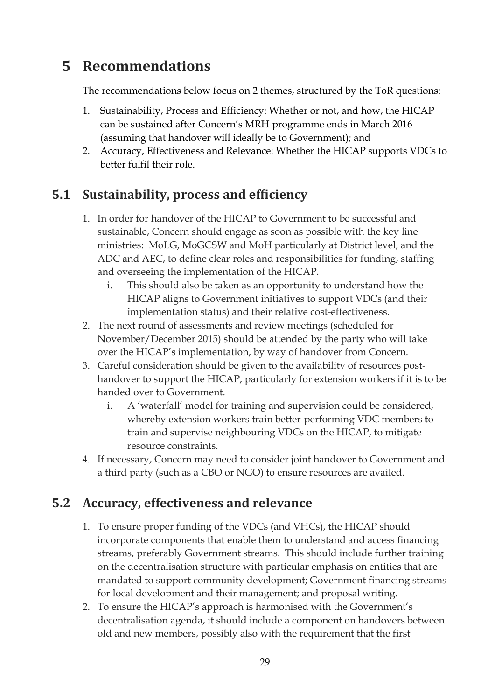## **5 Recommendations**

The recommendations below focus on 2 themes, structured by the ToR questions:

- 1. Sustainability, Process and Efficiency: Whether or not, and how, the HICAP can be sustained after Concern's MRH programme ends in March 2016 (assuming that handover will ideally be to Government); and
- 2. Accuracy, Effectiveness and Relevance: Whether the HICAP supports VDCs to better fulfil their role.

## **5.1 Sustainability, process and efficiency**

- 1. In order for handover of the HICAP to Government to be successful and sustainable, Concern should engage as soon as possible with the key line ministries: MoLG, MoGCSW and MoH particularly at District level, and the ADC and AEC, to define clear roles and responsibilities for funding, staffing and overseeing the implementation of the HICAP.
	- i. This should also be taken as an opportunity to understand how the HICAP aligns to Government initiatives to support VDCs (and their implementation status) and their relative cost-effectiveness.
- 2. The next round of assessments and review meetings (scheduled for November/December 2015) should be attended by the party who will take over the HICAP's implementation, by way of handover from Concern.
- 3. Careful consideration should be given to the availability of resources posthandover to support the HICAP, particularly for extension workers if it is to be handed over to Government.
	- i. A 'waterfall' model for training and supervision could be considered, whereby extension workers train better-performing VDC members to train and supervise neighbouring VDCs on the HICAP, to mitigate resource constraints.
- 4. If necessary, Concern may need to consider joint handover to Government and a third party (such as a CBO or NGO) to ensure resources are availed.

## **5.2 Accuracy, effectiveness and relevance**

- 1. To ensure proper funding of the VDCs (and VHCs), the HICAP should incorporate components that enable them to understand and access financing streams, preferably Government streams. This should include further training on the decentralisation structure with particular emphasis on entities that are mandated to support community development; Government financing streams for local development and their management; and proposal writing.
- 2. To ensure the HICAP's approach is harmonised with the Government's decentralisation agenda, it should include a component on handovers between old and new members, possibly also with the requirement that the first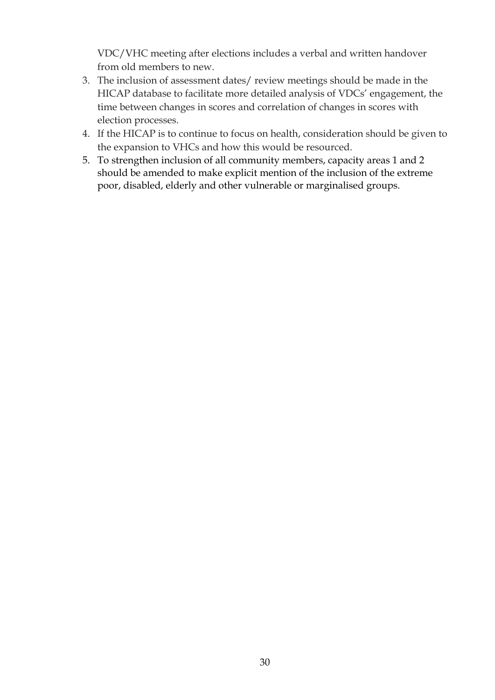VDC/VHC meeting after elections includes a verbal and written handover from old members to new.

- 3. The inclusion of assessment dates/ review meetings should be made in the HICAP database to facilitate more detailed analysis of VDCs' engagement, the time between changes in scores and correlation of changes in scores with election processes.
- 4. If the HICAP is to continue to focus on health, consideration should be given to the expansion to VHCs and how this would be resourced.
- 5. To strengthen inclusion of all community members, capacity areas 1 and 2 should be amended to make explicit mention of the inclusion of the extreme poor, disabled, elderly and other vulnerable or marginalised groups.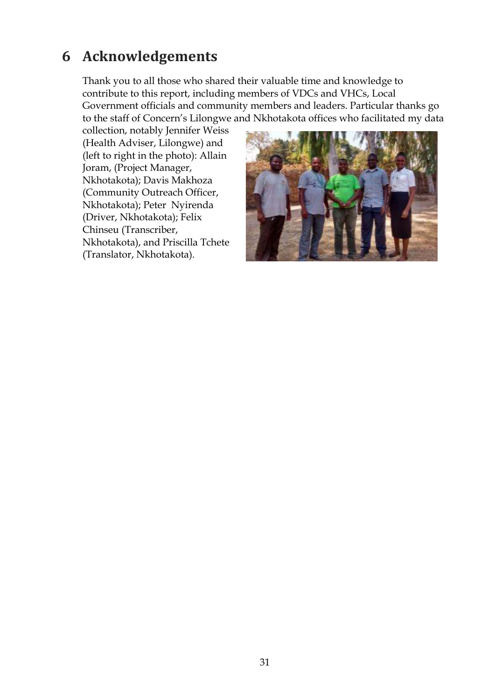## **6 Acknowledgements**

Thank you to all those who shared their valuable time and knowledge to contribute to this report, including members of VDCs and VHCs, Local Government officials and community members and leaders. Particular thanks go to the staff of Concern's Lilongwe and Nkhotakota offices who facilitated my data

collection, notably Jennifer Weiss (Health Adviser, Lilongwe) and (left to right in the photo): Allain Joram, (Project Manager, Nkhotakota); Davis Makhoza (Community Outreach Officer, Nkhotakota); Peter Nyirenda (Driver, Nkhotakota); Felix Chinseu (Transcriber, Nkhotakota), and Priscilla Tchete (Translator, Nkhotakota).

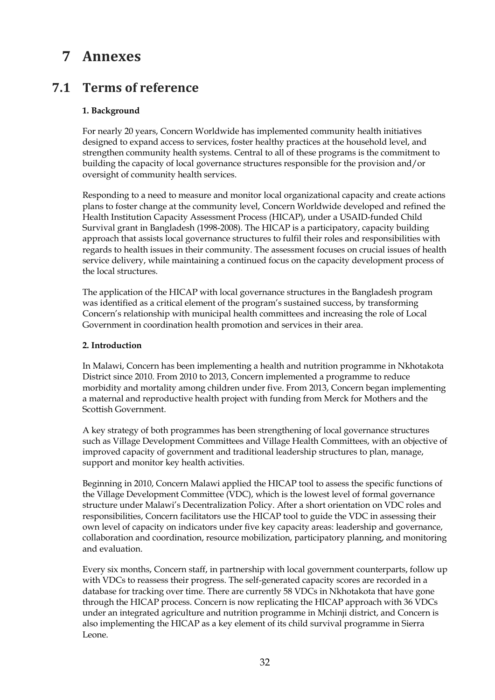## **7 Annexes**

### **7.1 Terms of reference**

#### **1. Background**

For nearly 20 years, Concern Worldwide has implemented community health initiatives designed to expand access to services, foster healthy practices at the household level, and strengthen community health systems. Central to all of these programs is the commitment to building the capacity of local governance structures responsible for the provision and/or oversight of community health services.

Responding to a need to measure and monitor local organizational capacity and create actions plans to foster change at the community level, Concern Worldwide developed and refined the Health Institution Capacity Assessment Process (HICAP), under a USAID-funded Child Survival grant in Bangladesh (1998-2008). The HICAP is a participatory, capacity building approach that assists local governance structures to fulfil their roles and responsibilities with regards to health issues in their community. The assessment focuses on crucial issues of health service delivery, while maintaining a continued focus on the capacity development process of the local structures.

The application of the HICAP with local governance structures in the Bangladesh program was identified as a critical element of the program's sustained success, by transforming Concern's relationship with municipal health committees and increasing the role of Local Government in coordination health promotion and services in their area.

#### **2. Introduction**

In Malawi, Concern has been implementing a health and nutrition programme in Nkhotakota District since 2010. From 2010 to 2013, Concern implemented a programme to reduce morbidity and mortality among children under five. From 2013, Concern began implementing a maternal and reproductive health project with funding from Merck for Mothers and the Scottish Government.

A key strategy of both programmes has been strengthening of local governance structures such as Village Development Committees and Village Health Committees, with an objective of improved capacity of government and traditional leadership structures to plan, manage, support and monitor key health activities.

Beginning in 2010, Concern Malawi applied the HICAP tool to assess the specific functions of the Village Development Committee (VDC), which is the lowest level of formal governance structure under Malawi's Decentralization Policy. After a short orientation on VDC roles and responsibilities, Concern facilitators use the HICAP tool to guide the VDC in assessing their own level of capacity on indicators under five key capacity areas: leadership and governance, collaboration and coordination, resource mobilization, participatory planning, and monitoring and evaluation.

Every six months, Concern staff, in partnership with local government counterparts, follow up with VDCs to reassess their progress. The self-generated capacity scores are recorded in a database for tracking over time. There are currently 58 VDCs in Nkhotakota that have gone through the HICAP process. Concern is now replicating the HICAP approach with 36 VDCs under an integrated agriculture and nutrition programme in Mchinji district, and Concern is also implementing the HICAP as a key element of its child survival programme in Sierra Leone.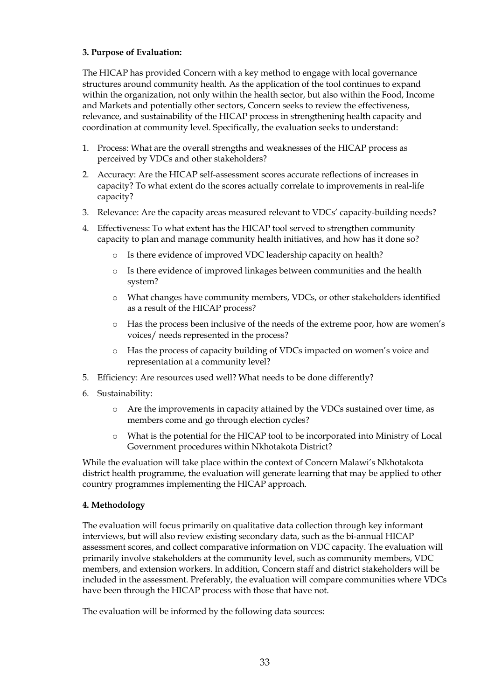#### **3. Purpose of Evaluation:**

The HICAP has provided Concern with a key method to engage with local governance structures around community health. As the application of the tool continues to expand within the organization, not only within the health sector, but also within the Food, Income and Markets and potentially other sectors, Concern seeks to review the effectiveness, relevance, and sustainability of the HICAP process in strengthening health capacity and coordination at community level. Specifically, the evaluation seeks to understand:

- 1. Process: What are the overall strengths and weaknesses of the HICAP process as perceived by VDCs and other stakeholders?
- 2. Accuracy: Are the HICAP self-assessment scores accurate reflections of increases in capacity? To what extent do the scores actually correlate to improvements in real-life capacity?
- 3. Relevance: Are the capacity areas measured relevant to VDCs' capacity-building needs?
- 4. Effectiveness: To what extent has the HICAP tool served to strengthen community capacity to plan and manage community health initiatives, and how has it done so?
	- o Is there evidence of improved VDC leadership capacity on health?
	- o Is there evidence of improved linkages between communities and the health system?
	- o What changes have community members, VDCs, or other stakeholders identified as a result of the HICAP process?
	- o Has the process been inclusive of the needs of the extreme poor, how are women's voices/ needs represented in the process?
	- o Has the process of capacity building of VDCs impacted on women's voice and representation at a community level?
- 5. Efficiency: Are resources used well? What needs to be done differently?
- 6. Sustainability:
	- o Are the improvements in capacity attained by the VDCs sustained over time, as members come and go through election cycles?
	- o What is the potential for the HICAP tool to be incorporated into Ministry of Local Government procedures within Nkhotakota District?

While the evaluation will take place within the context of Concern Malawi's Nkhotakota district health programme, the evaluation will generate learning that may be applied to other country programmes implementing the HICAP approach.

#### **4. Methodology**

The evaluation will focus primarily on qualitative data collection through key informant interviews, but will also review existing secondary data, such as the bi-annual HICAP assessment scores, and collect comparative information on VDC capacity. The evaluation will primarily involve stakeholders at the community level, such as community members, VDC members, and extension workers. In addition, Concern staff and district stakeholders will be included in the assessment. Preferably, the evaluation will compare communities where VDCs have been through the HICAP process with those that have not.

The evaluation will be informed by the following data sources: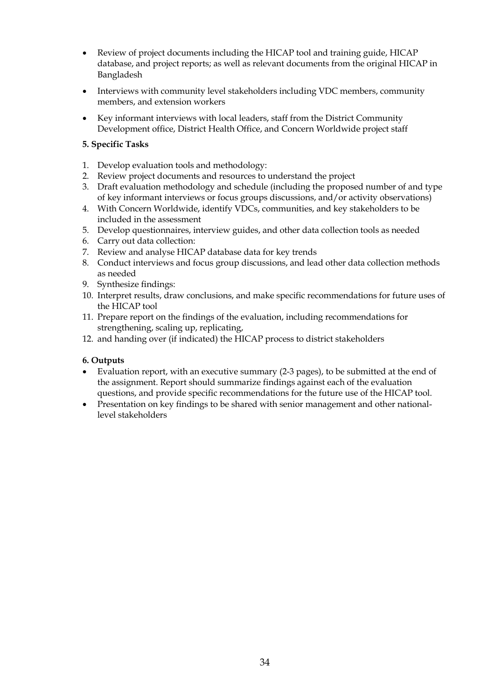- Review of project documents including the HICAP tool and training guide, HICAP database, and project reports; as well as relevant documents from the original HICAP in Bangladesh
- Interviews with community level stakeholders including VDC members, community members, and extension workers
- Key informant interviews with local leaders, staff from the District Community Development office, District Health Office, and Concern Worldwide project staff

#### **5. Specific Tasks**

- 1. Develop evaluation tools and methodology:
- 2. Review project documents and resources to understand the project
- 3. Draft evaluation methodology and schedule (including the proposed number of and type of key informant interviews or focus groups discussions, and/or activity observations)
- 4. With Concern Worldwide, identify VDCs, communities, and key stakeholders to be included in the assessment
- 5. Develop questionnaires, interview guides, and other data collection tools as needed
- 6. Carry out data collection:
- 7. Review and analyse HICAP database data for key trends
- 8. Conduct interviews and focus group discussions, and lead other data collection methods as needed
- 9. Synthesize findings:
- 10. Interpret results, draw conclusions, and make specific recommendations for future uses of the HICAP tool
- 11. Prepare report on the findings of the evaluation, including recommendations for strengthening, scaling up, replicating,
- 12. and handing over (if indicated) the HICAP process to district stakeholders

#### **6. Outputs**

- Evaluation report, with an executive summary (2-3 pages), to be submitted at the end of the assignment. Report should summarize findings against each of the evaluation questions, and provide specific recommendations for the future use of the HICAP tool.
- Presentation on key findings to be shared with senior management and other nationallevel stakeholders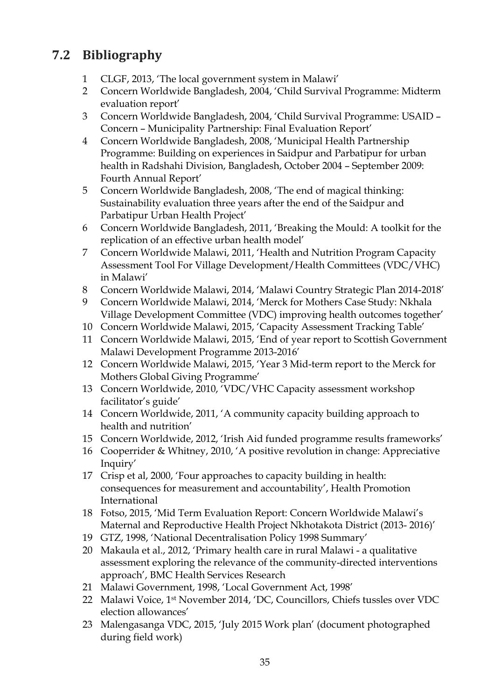## **7.2 Bibliography**

- 1 CLGF, 2013, 'The local government system in Malawi'
- 2 Concern Worldwide Bangladesh, 2004, 'Child Survival Programme: Midterm evaluation report'
- 3 Concern Worldwide Bangladesh, 2004, 'Child Survival Programme: USAID Concern – Municipality Partnership: Final Evaluation Report'
- 4 Concern Worldwide Bangladesh, 2008, 'Municipal Health Partnership Programme: Building on experiences in Saidpur and Parbatipur for urban health in Radshahi Division, Bangladesh, October 2004 – September 2009: Fourth Annual Report'
- 5 Concern Worldwide Bangladesh, 2008, 'The end of magical thinking: Sustainability evaluation three years after the end of the Saidpur and Parbatipur Urban Health Project'
- 6 Concern Worldwide Bangladesh, 2011, 'Breaking the Mould: A toolkit for the replication of an effective urban health model'
- 7 Concern Worldwide Malawi, 2011, 'Health and Nutrition Program Capacity Assessment Tool For Village Development/Health Committees (VDC/VHC) in Malawi'
- 8 Concern Worldwide Malawi, 2014, 'Malawi Country Strategic Plan 2014-2018'
- 9 Concern Worldwide Malawi, 2014, 'Merck for Mothers Case Study: Nkhala Village Development Committee (VDC) improving health outcomes together'
- 10 Concern Worldwide Malawi, 2015, 'Capacity Assessment Tracking Table'
- 11 Concern Worldwide Malawi, 2015, 'End of year report to Scottish Government Malawi Development Programme 2013-2016'
- 12 Concern Worldwide Malawi, 2015, 'Year 3 Mid-term report to the Merck for Mothers Global Giving Programme'
- 13 Concern Worldwide, 2010, 'VDC/VHC Capacity assessment workshop facilitator's guide'
- 14 Concern Worldwide, 2011, 'A community capacity building approach to health and nutrition'
- 15 Concern Worldwide, 2012, 'Irish Aid funded programme results frameworks'
- 16 Cooperrider & Whitney, 2010, 'A positive revolution in change: Appreciative Inquiry'
- 17 Crisp et al, 2000, 'Four approaches to capacity building in health: consequences for measurement and accountability', Health Promotion International
- 18 Fotso, 2015, 'Mid Term Evaluation Report: Concern Worldwide Malawi's Maternal and Reproductive Health Project Nkhotakota District (2013- 2016)'
- 19 GTZ, 1998, 'National Decentralisation Policy 1998 Summary'
- 20 Makaula et al., 2012, 'Primary health care in rural Malawi a qualitative assessment exploring the relevance of the community-directed interventions approach', BMC Health Services Research
- 21 Malawi Government, 1998, 'Local Government Act, 1998'
- 22 Malawi Voice, 1st November 2014, 'DC, Councillors, Chiefs tussles over VDC election allowances'
- 23 Malengasanga VDC, 2015, 'July 2015 Work plan' (document photographed during field work)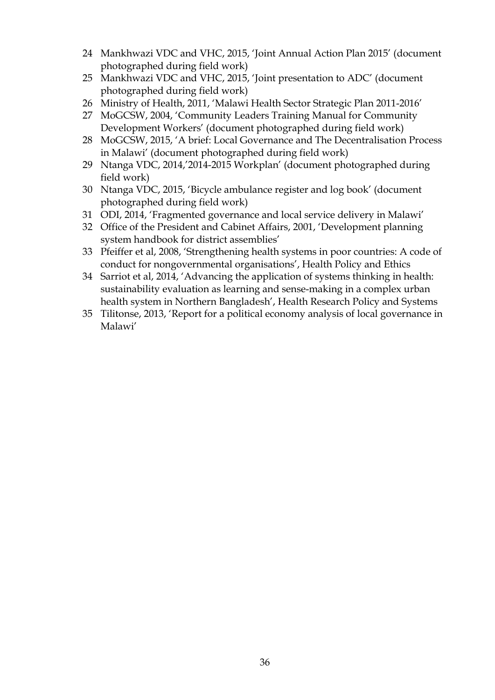- 24 Mankhwazi VDC and VHC, 2015, 'Joint Annual Action Plan 2015' (document photographed during field work)
- 25 Mankhwazi VDC and VHC, 2015, 'Joint presentation to ADC' (document photographed during field work)
- 26 Ministry of Health, 2011, 'Malawi Health Sector Strategic Plan 2011-2016'
- 27 MoGCSW, 2004, 'Community Leaders Training Manual for Community Development Workers' (document photographed during field work)
- 28 MoGCSW, 2015, 'A brief: Local Governance and The Decentralisation Process in Malawi' (document photographed during field work)
- 29 Ntanga VDC, 2014,'2014-2015 Workplan' (document photographed during field work)
- 30 Ntanga VDC, 2015, 'Bicycle ambulance register and log book' (document photographed during field work)
- 31 ODI, 2014, 'Fragmented governance and local service delivery in Malawi'
- 32 Office of the President and Cabinet Affairs, 2001, 'Development planning system handbook for district assemblies'
- 33 Pfeiffer et al, 2008, 'Strengthening health systems in poor countries: A code of conduct for nongovernmental organisations', Health Policy and Ethics
- 34 Sarriot et al, 2014, 'Advancing the application of systems thinking in health: sustainability evaluation as learning and sense-making in a complex urban health system in Northern Bangladesh', Health Research Policy and Systems
- 35 Tilitonse, 2013, 'Report for a political economy analysis of local governance in Malawi'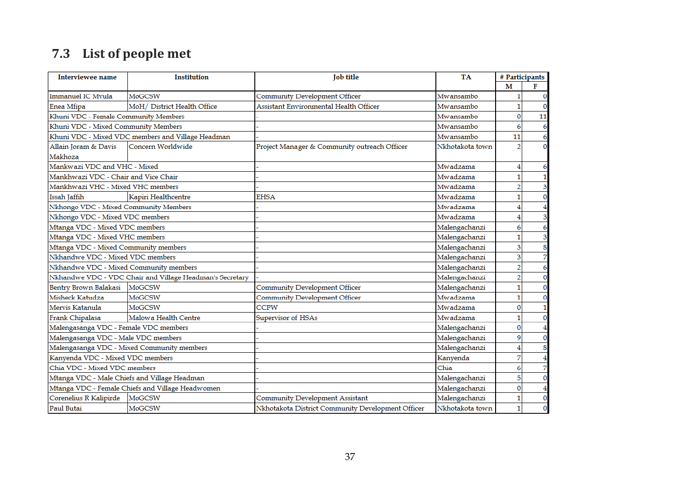# **7.3 List of people met**

| <b>Interviewee name</b>                | <b>Institution</b>                                       | <b>Tob title</b>                                  | TA              | # Participants          |              |
|----------------------------------------|----------------------------------------------------------|---------------------------------------------------|-----------------|-------------------------|--------------|
|                                        |                                                          |                                                   |                 | M                       | F            |
| Immanuel IC Myula                      | <b>MoGCSW</b>                                            | Community Development Officer                     | Mwansambo       | 1                       | 0            |
| Enea Mfipa                             | MoH/ District Health Office                              | Assistant Environmental Health Officer            | Mwansambo       | $\mathbf{1}$            | O            |
| Khuni VDC - Female Community Members   |                                                          |                                                   | Mwansambo       | $\overline{0}$          | 11           |
| Khuni VDC - Mixed Community Members    |                                                          |                                                   | Mwansambo       | 6                       | 6            |
|                                        | Khuni VDC - Mixed VDC members and Village Headman        |                                                   | Mwansambo       | 11                      | 6            |
| Allain Joram & Davis                   | Concern Worldwide                                        | Project Manager & Community outreach Officer      | Nkhotakota town | 2                       | 0            |
| Makhoza                                |                                                          |                                                   |                 |                         |              |
| Mankwazi VDC and VHC - Mixed           |                                                          |                                                   | Mwadzama        | 4                       | 6            |
| Mankhwazi VDC - Chair and Vice Chair   |                                                          |                                                   | Mwadzama        | $\mathbf{1}$            | 1            |
| Mankhwazi VHC - Mixed VHC members      |                                                          |                                                   | Mwadzama        | $\overline{2}$          | 3            |
| Issah Jaffih                           | Kapiri Healthcentre                                      | <b>EHSA</b>                                       | Mwadzama        | 1                       | $\mathbf{0}$ |
| Nkhongo VDC - Mixed Community Members  |                                                          |                                                   | Mwadzama        | 4                       |              |
| Nkhongo VDC - Mixed VDC members        |                                                          |                                                   | Mwadzama        | 4                       | 3            |
| Mtanga VDC - Mixed VDC members         |                                                          |                                                   | Malengachanzi   | 6                       | 6            |
| Mtanga VDC - Mixed VHC members         |                                                          |                                                   | Malengachanzi   | 1                       | 3            |
| Mtanga VDC - Mixed Community members   |                                                          |                                                   | Malengachanzi   | 3                       | 8            |
| Nkhandwe VDC - Mixed VDC members       |                                                          |                                                   | Malengachanzi   | $\overline{\mathbf{3}}$ | 7            |
| Nkhandwe VDC - Mixed Community members |                                                          |                                                   | Malengachanzi   | $\overline{2}$          | 6            |
|                                        | Nkhandwe VDC - VDC Chair and Village Headman's Secretary |                                                   | Malengachanzi   | $\overline{2}$          | $\mathbf{0}$ |
| Bentry Brown Balakasi MoGCSW           |                                                          | Community Development Officer                     | Malengachanzi   | 1                       | 0            |
| Misheck Katudza                        | <b>MoGCSW</b>                                            | Community Development Officer                     | Mwadzama        | $\mathbf{1}$            | 0            |
| Mervis Katanula                        | MoGCSW                                                   | <b>CCPW</b>                                       | Mwadzama        | 0                       | 1            |
| Frank Chipalasa                        | Malowa Health Centre                                     | Supervisor of HSAs                                | Mwadzama        | $\mathbf{1}$            | 0            |
| Malengasanga VDC - Female VDC members  |                                                          |                                                   | Malengachanzi   | $\overline{0}$          |              |
| Malengasanga VDC - Male VDC members    |                                                          |                                                   | Malengachanzi   | 9                       | O            |
|                                        | Malengasanga VDC - Mixed Community members               |                                                   | Malengachanzi   | 4                       | 8            |
| Kanyenda VDC - Mixed VDC members       |                                                          |                                                   | Kanyenda        | 7                       | 4            |
| Chia VDC - Mixed VDC members           |                                                          |                                                   | Chia            | 6                       | 7            |
|                                        | Mtanga VDC - Male Chiefs and Village Headman             |                                                   | Malengachanzi   | 5                       | 0            |
|                                        | Mtanga VDC - Female Chiefs and Village Headwomen         |                                                   | Malengachanzi   | $\mathbf 0$             | 4            |
| Corenelius R Kalipirde                 | MoGCSW                                                   | Community Development Assistant                   | Malengachanzi   | 1                       | 0            |
| Paul Butai                             | <b>MoGCSW</b>                                            | Nkhotakota District Community Development Officer | Nkhotakota town | $\mathbf{1}$            | 0            |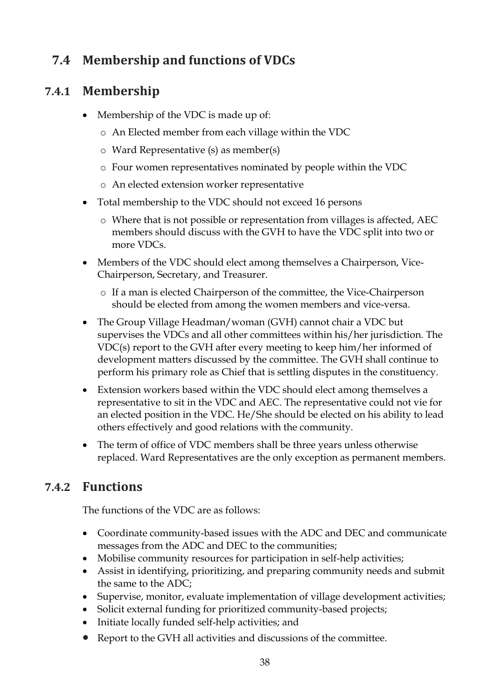## **7.4 Membership and functions of VDCs**

## **7.4.1 Membership**

- Membership of the VDC is made up of:
	- o An Elected member from each village within the VDC
	- o Ward Representative (s) as member(s)
	- o Four women representatives nominated by people within the VDC
	- o An elected extension worker representative
- Total membership to the VDC should not exceed 16 persons
	- o Where that is not possible or representation from villages is affected, AEC members should discuss with the GVH to have the VDC split into two or more VDCs.
- Members of the VDC should elect among themselves a Chairperson, Vice-Chairperson, Secretary, and Treasurer.
	- o If a man is elected Chairperson of the committee, the Vice-Chairperson should be elected from among the women members and vice-versa.
- The Group Village Headman/woman (GVH) cannot chair a VDC but supervises the VDCs and all other committees within his/her jurisdiction. The VDC(s) report to the GVH after every meeting to keep him/her informed of development matters discussed by the committee. The GVH shall continue to perform his primary role as Chief that is settling disputes in the constituency.
- Extension workers based within the VDC should elect among themselves a representative to sit in the VDC and AEC. The representative could not vie for an elected position in the VDC. He/She should be elected on his ability to lead others effectively and good relations with the community.
- The term of office of VDC members shall be three years unless otherwise replaced. Ward Representatives are the only exception as permanent members.

## **7.4.2 Functions**

The functions of the VDC are as follows:

- Coordinate community-based issues with the ADC and DEC and communicate messages from the ADC and DEC to the communities;
- Mobilise community resources for participation in self-help activities;
- Assist in identifying, prioritizing, and preparing community needs and submit the same to the ADC;
- Supervise, monitor, evaluate implementation of village development activities;
- Solicit external funding for prioritized community-based projects;
- Initiate locally funded self-help activities; and
- Report to the GVH all activities and discussions of the committee.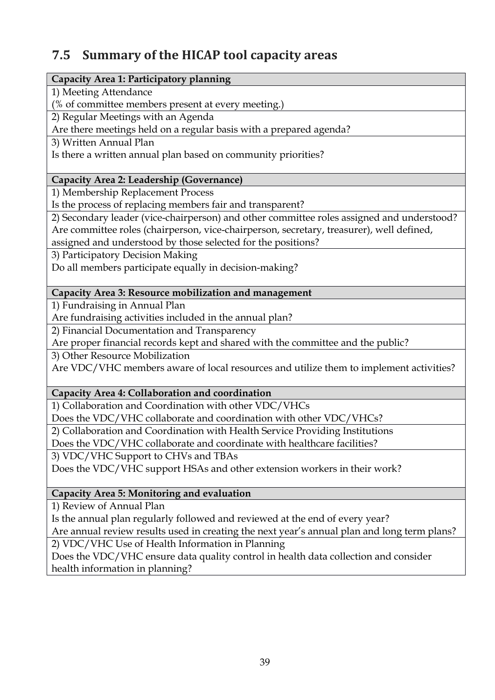## **7.5 Summary of the HICAP tool capacity areas**

#### **Capacity Area 1: Participatory planning**

1) Meeting Attendance

(% of committee members present at every meeting.)

2) Regular Meetings with an Agenda

Are there meetings held on a regular basis with a prepared agenda?

3) Written Annual Plan

Is there a written annual plan based on community priorities?

### **Capacity Area 2: Leadership (Governance)**

1) Membership Replacement Process

Is the process of replacing members fair and transparent?

2) Secondary leader (vice-chairperson) and other committee roles assigned and understood? Are committee roles (chairperson, vice-chairperson, secretary, treasurer), well defined,

assigned and understood by those selected for the positions?

3) Participatory Decision Making

Do all members participate equally in decision-making?

### **Capacity Area 3: Resource mobilization and management**

1) Fundraising in Annual Plan

Are fundraising activities included in the annual plan?

2) Financial Documentation and Transparency

Are proper financial records kept and shared with the committee and the public?

3) Other Resource Mobilization

Are VDC/VHC members aware of local resources and utilize them to implement activities?

### **Capacity Area 4: Collaboration and coordination**

1) Collaboration and Coordination with other VDC/VHCs

Does the VDC/VHC collaborate and coordination with other VDC/VHCs?

2) Collaboration and Coordination with Health Service Providing Institutions

Does the VDC/VHC collaborate and coordinate with healthcare facilities?

3) VDC/VHC Support to CHVs and TBAs

Does the VDC/VHC support HSAs and other extension workers in their work?

### **Capacity Area 5: Monitoring and evaluation**

1) Review of Annual Plan

Is the annual plan regularly followed and reviewed at the end of every year?

Are annual review results used in creating the next year's annual plan and long term plans?

2) VDC/VHC Use of Health Information in Planning

Does the VDC/VHC ensure data quality control in health data collection and consider health information in planning?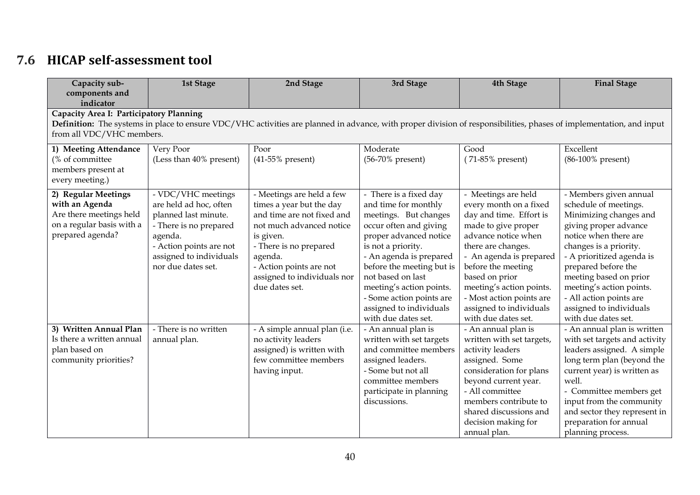# **7.6 HICAP self-assessment tool**

| Capacity sub-<br>components and                                                                                   | <b>1st Stage</b>                                                                                                                                                                                                                            | 2nd Stage                                                                                                                                                                                                                                     | 3rd Stage                                                                                                                                                                                                                                                                                                                                | <b>4th Stage</b>                                                                                                                                                                                                                                                                                                          | <b>Final Stage</b>                                                                                                                                                                                                                                                                                                                           |  |  |  |  |  |
|-------------------------------------------------------------------------------------------------------------------|---------------------------------------------------------------------------------------------------------------------------------------------------------------------------------------------------------------------------------------------|-----------------------------------------------------------------------------------------------------------------------------------------------------------------------------------------------------------------------------------------------|------------------------------------------------------------------------------------------------------------------------------------------------------------------------------------------------------------------------------------------------------------------------------------------------------------------------------------------|---------------------------------------------------------------------------------------------------------------------------------------------------------------------------------------------------------------------------------------------------------------------------------------------------------------------------|----------------------------------------------------------------------------------------------------------------------------------------------------------------------------------------------------------------------------------------------------------------------------------------------------------------------------------------------|--|--|--|--|--|
| indicator                                                                                                         | Capacity Area I: Participatory Planning<br>Definition: The systems in place to ensure VDC/VHC activities are planned in advance, with proper division of responsibilities, phases of implementation, and input<br>from all VDC/VHC members. |                                                                                                                                                                                                                                               |                                                                                                                                                                                                                                                                                                                                          |                                                                                                                                                                                                                                                                                                                           |                                                                                                                                                                                                                                                                                                                                              |  |  |  |  |  |
| 1) Meeting Attendance<br>(% of committee<br>members present at<br>every meeting.)                                 | Very Poor<br>(Less than 40% present)                                                                                                                                                                                                        | Poor<br>$(41-55\%$ present)                                                                                                                                                                                                                   | Moderate<br>(56-70% present)                                                                                                                                                                                                                                                                                                             | Good<br>$(71-85\%$ present)                                                                                                                                                                                                                                                                                               | Excellent<br>(86-100% present)                                                                                                                                                                                                                                                                                                               |  |  |  |  |  |
| 2) Regular Meetings<br>with an Agenda<br>Are there meetings held<br>on a regular basis with a<br>prepared agenda? | - VDC/VHC meetings<br>are held ad hoc, often<br>planned last minute.<br>- There is no prepared<br>agenda.<br>- Action points are not<br>assigned to individuals<br>nor due dates set.                                                       | - Meetings are held a few<br>times a year but the day<br>and time are not fixed and<br>not much advanced notice<br>is given.<br>- There is no prepared<br>agenda.<br>- Action points are not<br>assigned to individuals nor<br>due dates set. | - There is a fixed day<br>and time for monthly<br>meetings. But changes<br>occur often and giving<br>proper advanced notice<br>is not a priority.<br>- An agenda is prepared<br>before the meeting but is<br>not based on last<br>meeting's action points.<br>- Some action points are<br>assigned to individuals<br>with due dates set. | - Meetings are held<br>every month on a fixed<br>day and time. Effort is<br>made to give proper<br>advance notice when<br>there are changes.<br>- An agenda is prepared<br>before the meeting<br>based on prior<br>meeting's action points.<br>- Most action points are<br>assigned to individuals<br>with due dates set. | - Members given annual<br>schedule of meetings.<br>Minimizing changes and<br>giving proper advance<br>notice when there are<br>changes is a priority.<br>- A prioritized agenda is<br>prepared before the<br>meeting based on prior<br>meeting's action points.<br>- All action points are<br>assigned to individuals<br>with due dates set. |  |  |  |  |  |
| 3) Written Annual Plan<br>Is there a written annual<br>plan based on<br>community priorities?                     | - There is no written<br>annual plan.                                                                                                                                                                                                       | - A simple annual plan (i.e.<br>no activity leaders<br>assigned) is written with<br>few committee members<br>having input.                                                                                                                    | - An annual plan is<br>written with set targets<br>and committee members<br>assigned leaders.<br>- Some but not all<br>committee members<br>participate in planning<br>discussions.                                                                                                                                                      | - An annual plan is<br>written with set targets,<br>activity leaders<br>assigned. Some<br>consideration for plans<br>beyond current year.<br>- All committee<br>members contribute to<br>shared discussions and<br>decision making for<br>annual plan.                                                                    | - An annual plan is written<br>with set targets and activity<br>leaders assigned. A simple<br>long term plan (beyond the<br>current year) is written as<br>well.<br>- Committee members get<br>input from the community<br>and sector they represent in<br>preparation for annual<br>planning process.                                       |  |  |  |  |  |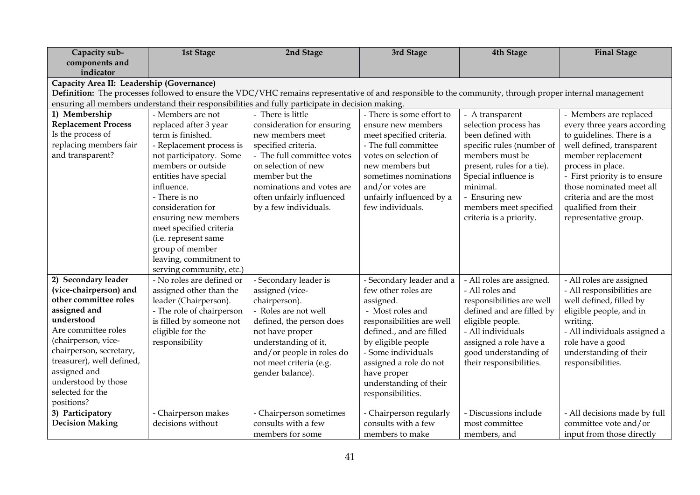| Capacity sub-<br><b>1st Stage</b><br>2nd Stage<br>3rd Stage                                                                                                             | <b>Final Stage</b><br>4th Stage                                                                        |
|-------------------------------------------------------------------------------------------------------------------------------------------------------------------------|--------------------------------------------------------------------------------------------------------|
| components and                                                                                                                                                          |                                                                                                        |
| indicator                                                                                                                                                               |                                                                                                        |
| Capacity Area II: Leadership (Governance)                                                                                                                               |                                                                                                        |
| Definition: The processes followed to ensure the VDC/VHC remains representative of and responsible to the community, through proper internal management                 |                                                                                                        |
| ensuring all members understand their responsibilities and fully participate in decision making.<br>- There is some effort to<br>- Members are not<br>- There is little |                                                                                                        |
| 1) Membership<br><b>Replacement Process</b><br>ensure new members                                                                                                       | - A transparent<br>- Members are replaced                                                              |
| replaced after 3 year<br>consideration for ensuring<br>Is the process of<br>term is finished.<br>meet specified criteria.<br>new members meet                           | selection process has<br>every three years according<br>been defined with<br>to guidelines. There is a |
| replacing members fair<br>- The full committee<br>specified criteria.<br>- Replacement process is                                                                       | well defined, transparent<br>specific rules (number of                                                 |
| and transparent?<br>not participatory. Some<br>- The full committee votes<br>votes on selection of                                                                      | members must be<br>member replacement                                                                  |
| members or outside<br>on selection of new<br>new members but                                                                                                            | process in place.<br>present, rules for a tie).                                                        |
| entities have special<br>member but the<br>sometimes nominations                                                                                                        | - First priority is to ensure<br>Special influence is                                                  |
| minimal.<br>influence.<br>and/or votes are<br>nominations and votes are                                                                                                 | those nominated meet all                                                                               |
| - There is no<br>often unfairly influenced<br>unfairly influenced by a                                                                                                  | criteria and are the most<br>- Ensuring new                                                            |
| few individuals.<br>consideration for<br>by a few individuals.                                                                                                          | members meet specified<br>qualified from their                                                         |
| ensuring new members                                                                                                                                                    | criteria is a priority.<br>representative group.                                                       |
| meet specified criteria                                                                                                                                                 |                                                                                                        |
| (i.e. represent same                                                                                                                                                    |                                                                                                        |
| group of member                                                                                                                                                         |                                                                                                        |
| leaving, commitment to                                                                                                                                                  |                                                                                                        |
| serving community, etc.)                                                                                                                                                |                                                                                                        |
| 2) Secondary leader<br>- No roles are defined or<br>- Secondary leader is<br>- Secondary leader and a                                                                   | - All roles are assigned.<br>- All roles are assigned                                                  |
| (vice-chairperson) and<br>few other roles are<br>assigned other than the<br>assigned (vice-                                                                             | - All responsibilities are<br>- All roles and                                                          |
| other committee roles<br>leader (Chairperson).<br>chairperson).<br>assigned.                                                                                            | well defined, filled by<br>responsibilities are well                                                   |
| assigned and<br>- The role of chairperson<br>- Roles are not well<br>- Most roles and                                                                                   | defined and are filled by<br>eligible people, and in                                                   |
| understood<br>is filled by someone not<br>responsibilities are well<br>defined, the person does                                                                         | eligible people.<br>writing.                                                                           |
| Are committee roles<br>eligible for the<br>defined., and are filled<br>not have proper                                                                                  | - All individuals<br>- All individuals assigned a                                                      |
| (chairperson, vice-<br>responsibility<br>understanding of it,<br>by eligible people                                                                                     | role have a good<br>assigned a role have a                                                             |
| chairperson, secretary,<br>and/or people in roles do<br>- Some individuals                                                                                              | good understanding of<br>understanding of their                                                        |
| treasurer), well defined,<br>not meet criteria (e.g.<br>assigned a role do not                                                                                          | their responsibilities.<br>responsibilities.                                                           |
| assigned and<br>gender balance).<br>have proper<br>understood by those                                                                                                  |                                                                                                        |
| understanding of their<br>selected for the                                                                                                                              |                                                                                                        |
| responsibilities.<br>positions?                                                                                                                                         |                                                                                                        |
| 3) Participatory<br>- Chairperson makes<br>- Chairperson sometimes<br>- Chairperson regularly                                                                           | - Discussions include<br>- All decisions made by full                                                  |
| <b>Decision Making</b><br>consults with a few<br>consults with a few<br>decisions without                                                                               | committee vote and/or<br>most committee                                                                |
| members for some<br>members to make<br>members, and                                                                                                                     | input from those directly                                                                              |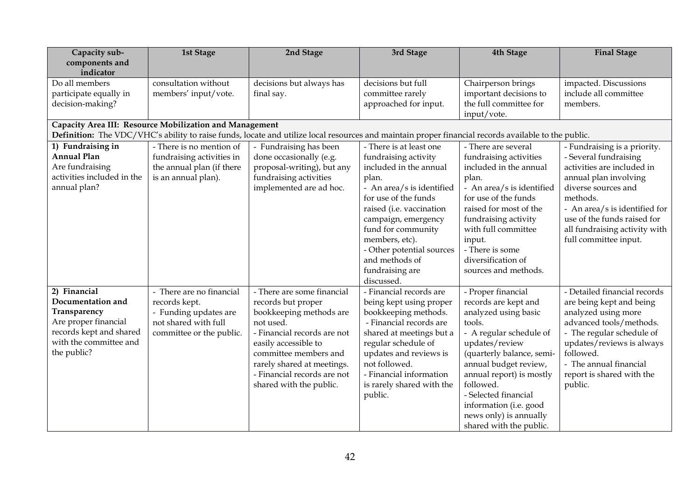| Capacity sub-               | <b>1st Stage</b>                                        | 2nd Stage                                                                                                                                           | 3rd Stage                 | 4th Stage                                        | <b>Final Stage</b>                             |
|-----------------------------|---------------------------------------------------------|-----------------------------------------------------------------------------------------------------------------------------------------------------|---------------------------|--------------------------------------------------|------------------------------------------------|
| components and              |                                                         |                                                                                                                                                     |                           |                                                  |                                                |
| indicator<br>Do all members | consultation without                                    |                                                                                                                                                     |                           |                                                  |                                                |
|                             |                                                         | decisions but always has                                                                                                                            | decisions but full        | Chairperson brings                               | impacted. Discussions<br>include all committee |
| participate equally in      | members' input/vote.                                    | final say.                                                                                                                                          | committee rarely          | important decisions to<br>the full committee for | members.                                       |
| decision-making?            |                                                         |                                                                                                                                                     | approached for input.     | input/vote.                                      |                                                |
|                             | Capacity Area III: Resource Mobilization and Management |                                                                                                                                                     |                           |                                                  |                                                |
|                             |                                                         | Definition: The VDC/VHC's ability to raise funds, locate and utilize local resources and maintain proper financial records available to the public. |                           |                                                  |                                                |
| 1) Fundraising in           | - There is no mention of                                | - Fundraising has been                                                                                                                              | - There is at least one   | - There are several                              | - Fundraising is a priority.                   |
| <b>Annual Plan</b>          | fundraising activities in                               | done occasionally (e.g.                                                                                                                             | fundraising activity      | fundraising activities                           | - Several fundraising                          |
| Are fundraising             | the annual plan (if there                               | proposal-writing), but any                                                                                                                          | included in the annual    | included in the annual                           | activities are included in                     |
| activities included in the  | is an annual plan).                                     | fundraising activities                                                                                                                              | plan.                     | plan.                                            | annual plan involving                          |
| annual plan?                |                                                         | implemented are ad hoc.                                                                                                                             | - An area/s is identified | - An area/s is identified                        | diverse sources and                            |
|                             |                                                         |                                                                                                                                                     | for use of the funds      | for use of the funds                             | methods.                                       |
|                             |                                                         |                                                                                                                                                     | raised (i.e. vaccination  | raised for most of the                           | - An area/s is identified for                  |
|                             |                                                         |                                                                                                                                                     | campaign, emergency       | fundraising activity                             | use of the funds raised for                    |
|                             |                                                         |                                                                                                                                                     | fund for community        | with full committee                              | all fundraising activity with                  |
|                             |                                                         |                                                                                                                                                     | members, etc).            | input.                                           | full committee input.                          |
|                             |                                                         |                                                                                                                                                     | - Other potential sources | - There is some                                  |                                                |
|                             |                                                         |                                                                                                                                                     | and methods of            | diversification of                               |                                                |
|                             |                                                         |                                                                                                                                                     | fundraising are           | sources and methods.                             |                                                |
|                             |                                                         |                                                                                                                                                     | discussed.                |                                                  |                                                |
| 2) Financial                | - There are no financial                                | - There are some financial                                                                                                                          | - Financial records are   | - Proper financial                               | - Detailed financial records                   |
| Documentation and           | records kept.                                           | records but proper                                                                                                                                  | being kept using proper   | records are kept and                             | are being kept and being                       |
| Transparency                | - Funding updates are                                   | bookkeeping methods are                                                                                                                             | bookkeeping methods.      | analyzed using basic                             | analyzed using more                            |
| Are proper financial        | not shared with full                                    | not used.                                                                                                                                           | - Financial records are   | tools.                                           | advanced tools/methods.                        |
| records kept and shared     | committee or the public.                                | - Financial records are not                                                                                                                         | shared at meetings but a  | - A regular schedule of                          | - The regular schedule of                      |
| with the committee and      |                                                         | easily accessible to                                                                                                                                | regular schedule of       | updates/review                                   | updates/reviews is always                      |
| the public?                 |                                                         | committee members and                                                                                                                               | updates and reviews is    | (quarterly balance, semi-                        | followed.                                      |
|                             |                                                         | rarely shared at meetings.                                                                                                                          | not followed.             | annual budget review,                            | - The annual financial                         |
|                             |                                                         | - Financial records are not                                                                                                                         | - Financial information   | annual report) is mostly                         | report is shared with the                      |
|                             |                                                         | shared with the public.                                                                                                                             | is rarely shared with the | followed.                                        | public.                                        |
|                             |                                                         |                                                                                                                                                     | public.                   | - Selected financial                             |                                                |
|                             |                                                         |                                                                                                                                                     |                           | information (i.e. good                           |                                                |
|                             |                                                         |                                                                                                                                                     |                           | news only) is annually                           |                                                |
|                             |                                                         |                                                                                                                                                     |                           | shared with the public.                          |                                                |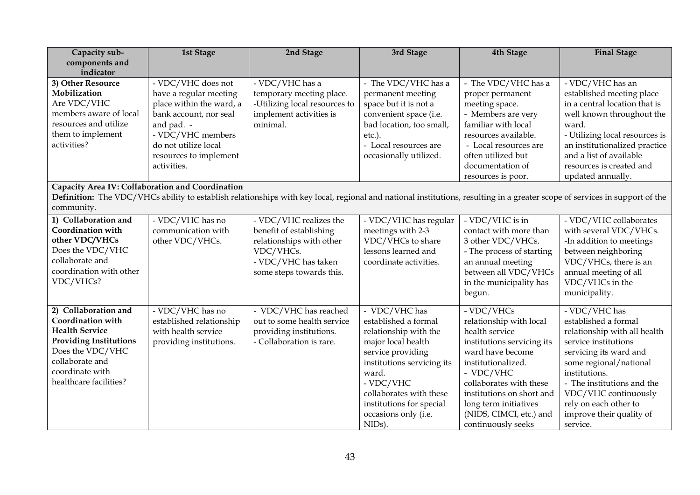| Capacity sub-                                    | <b>1st Stage</b>                                   | 2nd Stage                                                                                                                                                                  | 3rd Stage                                          | 4th Stage                                 | <b>Final Stage</b>                 |
|--------------------------------------------------|----------------------------------------------------|----------------------------------------------------------------------------------------------------------------------------------------------------------------------------|----------------------------------------------------|-------------------------------------------|------------------------------------|
| components and                                   |                                                    |                                                                                                                                                                            |                                                    |                                           |                                    |
| indicator                                        |                                                    |                                                                                                                                                                            |                                                    |                                           |                                    |
| 3) Other Resource                                | - VDC/VHC does not                                 | - VDC/VHC has a                                                                                                                                                            | - The VDC/VHC has a                                | - The VDC/VHC has a                       | - VDC/VHC has an                   |
| Mobilization                                     | have a regular meeting                             | temporary meeting place.                                                                                                                                                   | permanent meeting                                  | proper permanent                          | established meeting place          |
| Are VDC/VHC<br>members aware of local            | place within the ward, a<br>bank account, nor seal | -Utilizing local resources to                                                                                                                                              | space but it is not a                              | meeting space.                            | in a central location that is      |
| resources and utilize                            |                                                    | implement activities is<br>minimal.                                                                                                                                        | convenient space (i.e.<br>bad location, too small, | - Members are very<br>familiar with local | well known throughout the<br>ward. |
| them to implement                                | and pad. -<br>- VDC/VHC members                    |                                                                                                                                                                            | $etc.$ ).                                          | resources available.                      | - Utilizing local resources is     |
| activities?                                      | do not utilize local                               |                                                                                                                                                                            | - Local resources are                              | - Local resources are                     | an institutionalized practice      |
|                                                  | resources to implement                             |                                                                                                                                                                            | occasionally utilized.                             | often utilized but                        | and a list of available            |
|                                                  | activities.                                        |                                                                                                                                                                            |                                                    | documentation of                          | resources is created and           |
|                                                  |                                                    |                                                                                                                                                                            |                                                    | resources is poor.                        | updated annually.                  |
| Capacity Area IV: Collaboration and Coordination |                                                    |                                                                                                                                                                            |                                                    |                                           |                                    |
|                                                  |                                                    | Definition: The VDC/VHCs ability to establish relationships with key local, regional and national institutions, resulting in a greater scope of services in support of the |                                                    |                                           |                                    |
| community.                                       |                                                    |                                                                                                                                                                            |                                                    |                                           |                                    |
| 1) Collaboration and                             | - VDC/VHC has no                                   | - VDC/VHC realizes the                                                                                                                                                     | - VDC/VHC has regular                              | - VDC/VHC is in                           | - VDC/VHC collaborates             |
| <b>Coordination with</b>                         | communication with                                 | benefit of establishing                                                                                                                                                    | meetings with 2-3                                  | contact with more than                    | with several VDC/VHCs.             |
| other VDC/VHCs                                   | other VDC/VHCs.                                    | relationships with other                                                                                                                                                   | VDC/VHCs to share                                  | 3 other VDC/VHCs.                         | -In addition to meetings           |
| Does the VDC/VHC                                 |                                                    | VDC/VHCs.                                                                                                                                                                  | lessons learned and                                | - The process of starting                 | between neighboring                |
| collaborate and                                  |                                                    | - VDC/VHC has taken                                                                                                                                                        | coordinate activities.                             | an annual meeting                         | VDC/VHCs, there is an              |
| coordination with other                          |                                                    | some steps towards this.                                                                                                                                                   |                                                    | between all VDC/VHCs                      | annual meeting of all              |
| VDC/VHCs?                                        |                                                    |                                                                                                                                                                            |                                                    | in the municipality has                   | VDC/VHCs in the                    |
|                                                  |                                                    |                                                                                                                                                                            |                                                    | begun.                                    | municipality.                      |
| 2) Collaboration and                             | - VDC/VHC has no                                   | - VDC/VHC has reached                                                                                                                                                      | - VDC/VHC has                                      | - VDC/VHCs                                | - VDC/VHC has                      |
| <b>Coordination with</b>                         | established relationship                           | out to some health service                                                                                                                                                 | established a formal                               | relationship with local                   | established a formal               |
| <b>Health Service</b>                            | with health service                                | providing institutions.                                                                                                                                                    | relationship with the                              | health service                            | relationship with all health       |
| <b>Providing Institutions</b>                    | providing institutions.                            | - Collaboration is rare.                                                                                                                                                   | major local health                                 | institutions servicing its                | service institutions               |
| Does the VDC/VHC                                 |                                                    |                                                                                                                                                                            | service providing                                  | ward have become                          | servicing its ward and             |
| collaborate and                                  |                                                    |                                                                                                                                                                            | institutions servicing its                         | institutionalized.                        | some regional/national             |
| coordinate with                                  |                                                    |                                                                                                                                                                            | ward.                                              | - VDC/VHC                                 | institutions.                      |
| healthcare facilities?                           |                                                    |                                                                                                                                                                            | - VDC/VHC                                          | collaborates with these                   | - The institutions and the         |
|                                                  |                                                    |                                                                                                                                                                            | collaborates with these                            | institutions on short and                 | VDC/VHC continuously               |
|                                                  |                                                    |                                                                                                                                                                            | institutions for special                           | long term initiatives                     | rely on each other to              |
|                                                  |                                                    |                                                                                                                                                                            | occasions only (i.e.                               | (NIDS, CIMCI, etc.) and                   | improve their quality of           |
|                                                  |                                                    |                                                                                                                                                                            | NID <sub>s</sub> ).                                | continuously seeks                        | service.                           |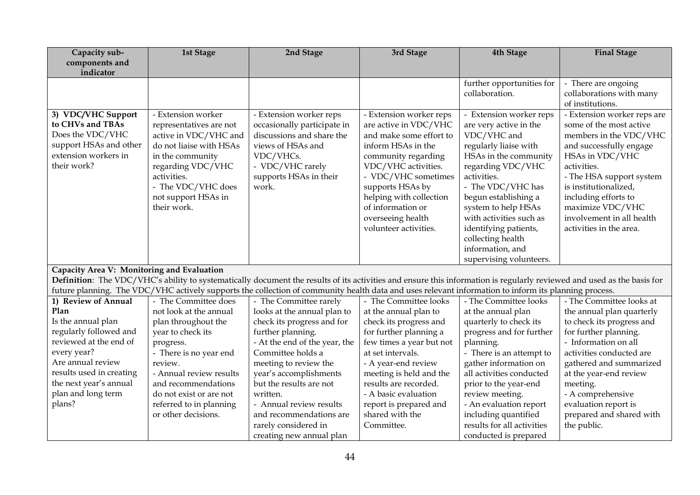| Capacity sub-                              | <b>1st Stage</b>                 | 2nd Stage                                                                                                                                                              | 3rd Stage                                  | 4th Stage                        | <b>Final Stage</b>                                |  |  |  |
|--------------------------------------------|----------------------------------|------------------------------------------------------------------------------------------------------------------------------------------------------------------------|--------------------------------------------|----------------------------------|---------------------------------------------------|--|--|--|
| components and                             |                                  |                                                                                                                                                                        |                                            |                                  |                                                   |  |  |  |
| indicator                                  |                                  |                                                                                                                                                                        |                                            |                                  |                                                   |  |  |  |
|                                            |                                  |                                                                                                                                                                        |                                            | further opportunities for        | - There are ongoing                               |  |  |  |
|                                            |                                  |                                                                                                                                                                        |                                            | collaboration.                   | collaborations with many                          |  |  |  |
|                                            |                                  |                                                                                                                                                                        |                                            |                                  | of institutions.                                  |  |  |  |
| 3) VDC/VHC Support                         | - Extension worker               | - Extension worker reps                                                                                                                                                | - Extension worker reps                    | - Extension worker reps          | - Extension worker reps are                       |  |  |  |
| to CHVs and TBAs                           | representatives are not          | occasionally participate in                                                                                                                                            | are active in VDC/VHC                      | are very active in the           | some of the most active                           |  |  |  |
| Does the VDC/VHC                           | active in VDC/VHC and            | discussions and share the                                                                                                                                              | and make some effort to                    | VDC/VHC and                      | members in the VDC/VHC                            |  |  |  |
| support HSAs and other                     | do not liaise with HSAs          | views of HSAs and                                                                                                                                                      | inform HSAs in the                         | regularly liaise with            | and successfully engage                           |  |  |  |
| extension workers in<br>their work?        | in the community                 | VDC/VHCs.                                                                                                                                                              | community regarding                        | HSAs in the community            | HSAs in VDC/VHC                                   |  |  |  |
|                                            | regarding VDC/VHC<br>activities. | - VDC/VHC rarely                                                                                                                                                       | VDC/VHC activities.<br>- VDC/VHC sometimes | regarding VDC/VHC<br>activities. | activities.                                       |  |  |  |
|                                            | - The VDC/VHC does               | supports HSAs in their<br>work.                                                                                                                                        | supports HSAs by                           | - The VDC/VHC has                | - The HSA support system<br>is institutionalized, |  |  |  |
|                                            | not support HSAs in              |                                                                                                                                                                        | helping with collection                    | begun establishing a             | including efforts to                              |  |  |  |
|                                            | their work.                      |                                                                                                                                                                        | of information or                          | system to help HSAs              | maximize VDC/VHC                                  |  |  |  |
|                                            |                                  |                                                                                                                                                                        | overseeing health                          | with activities such as          | involvement in all health                         |  |  |  |
|                                            |                                  |                                                                                                                                                                        | volunteer activities.                      | identifying patients,            | activities in the area.                           |  |  |  |
|                                            |                                  |                                                                                                                                                                        |                                            | collecting health                |                                                   |  |  |  |
|                                            |                                  |                                                                                                                                                                        |                                            | information, and                 |                                                   |  |  |  |
|                                            |                                  |                                                                                                                                                                        |                                            | supervising volunteers.          |                                                   |  |  |  |
| Capacity Area V: Monitoring and Evaluation |                                  |                                                                                                                                                                        |                                            |                                  |                                                   |  |  |  |
|                                            |                                  | Definition: The VDC/VHC's ability to systematically document the results of its activities and ensure this information is regularly reviewed and used as the basis for |                                            |                                  |                                                   |  |  |  |
|                                            |                                  | future planning. The VDC/VHC actively supports the collection of community health data and uses relevant information to inform its planning process.                   |                                            |                                  |                                                   |  |  |  |
| 1) Review of Annual                        | - The Committee does             | - The Committee rarely                                                                                                                                                 | - The Committee looks                      | - The Committee looks            | - The Committee looks at                          |  |  |  |
| Plan                                       | not look at the annual           | looks at the annual plan to                                                                                                                                            | at the annual plan to                      | at the annual plan               | the annual plan quarterly                         |  |  |  |
| Is the annual plan                         | plan throughout the              | check its progress and for                                                                                                                                             | check its progress and                     | quarterly to check its           | to check its progress and                         |  |  |  |
| regularly followed and                     | year to check its                | further planning.                                                                                                                                                      | for further planning a                     | progress and for further         | for further planning.                             |  |  |  |
| reviewed at the end of                     | progress.                        | - At the end of the year, the                                                                                                                                          | few times a year but not                   | planning.                        | - Information on all                              |  |  |  |
| every year?                                | - There is no year end           | Committee holds a                                                                                                                                                      | at set intervals.                          | - There is an attempt to         | activities conducted are                          |  |  |  |
| Are annual review                          | review.                          | meeting to review the                                                                                                                                                  | - A year-end review                        | gather information on            | gathered and summarized                           |  |  |  |
| results used in creating                   | - Annual review results          | year's accomplishments                                                                                                                                                 | meeting is held and the                    | all activities conducted         | at the year-end review                            |  |  |  |
| the next year's annual                     | and recommendations              | but the results are not                                                                                                                                                | results are recorded.                      | prior to the year-end            | meeting.                                          |  |  |  |
| plan and long term                         | do not exist or are not          | written.                                                                                                                                                               | - A basic evaluation                       | review meeting.                  | - A comprehensive                                 |  |  |  |
| plans?                                     | referred to in planning          | - Annual review results                                                                                                                                                | report is prepared and                     | - An evaluation report           | evaluation report is                              |  |  |  |
|                                            | or other decisions.              | and recommendations are                                                                                                                                                | shared with the                            | including quantified             | prepared and shared with                          |  |  |  |
|                                            |                                  | rarely considered in                                                                                                                                                   | Committee.                                 | results for all activities       | the public.                                       |  |  |  |
|                                            |                                  | creating new annual plan                                                                                                                                               |                                            | conducted is prepared            |                                                   |  |  |  |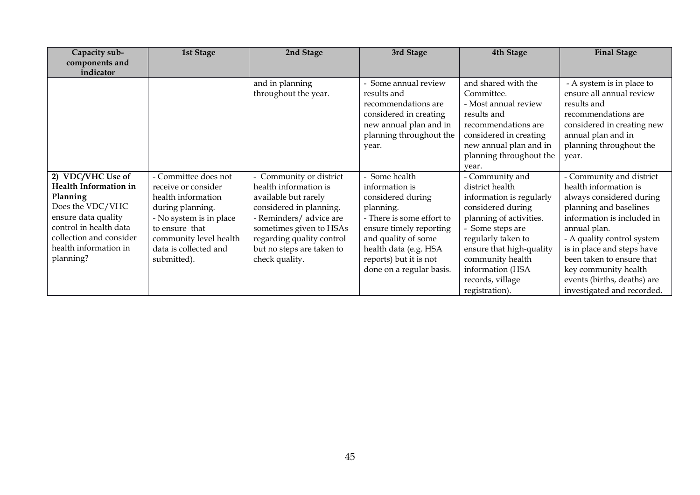| Capacity sub-<br>components and<br>indicator                                                                                                                                                        | 1st Stage                                                                                                                                                                                            | 2nd Stage                                                                                                                                                                                                                             | 3rd Stage                                                                                                                                                                                                                       | 4th Stage                                                                                                                                                                                                                                                          | <b>Final Stage</b>                                                                                                                                                                                                                                                                                                                  |
|-----------------------------------------------------------------------------------------------------------------------------------------------------------------------------------------------------|------------------------------------------------------------------------------------------------------------------------------------------------------------------------------------------------------|---------------------------------------------------------------------------------------------------------------------------------------------------------------------------------------------------------------------------------------|---------------------------------------------------------------------------------------------------------------------------------------------------------------------------------------------------------------------------------|--------------------------------------------------------------------------------------------------------------------------------------------------------------------------------------------------------------------------------------------------------------------|-------------------------------------------------------------------------------------------------------------------------------------------------------------------------------------------------------------------------------------------------------------------------------------------------------------------------------------|
|                                                                                                                                                                                                     |                                                                                                                                                                                                      | and in planning<br>throughout the year.                                                                                                                                                                                               | - Some annual review<br>results and<br>recommendations are<br>considered in creating<br>new annual plan and in<br>planning throughout the<br>year.                                                                              | and shared with the<br>Committee.<br>- Most annual review<br>results and<br>recommendations are<br>considered in creating<br>new annual plan and in<br>planning throughout the<br>vear.                                                                            | - A system is in place to<br>ensure all annual review<br>results and<br>recommendations are<br>considered in creating new<br>annual plan and in<br>planning throughout the<br>year.                                                                                                                                                 |
| 2) VDC/VHC Use of<br><b>Health Information in</b><br>Planning<br>Does the VDC/VHC<br>ensure data quality<br>control in health data<br>collection and consider<br>health information in<br>planning? | - Committee does not<br>receive or consider<br>health information<br>during planning.<br>- No system is in place<br>to ensure that<br>community level health<br>data is collected and<br>submitted). | - Community or district<br>health information is<br>available but rarely<br>considered in planning.<br>- Reminders/ advice are<br>sometimes given to HSAs<br>regarding quality control<br>but no steps are taken to<br>check quality. | - Some health<br>information is<br>considered during<br>planning.<br>- There is some effort to<br>ensure timely reporting<br>and quality of some<br>health data (e.g. HSA<br>reports) but it is not<br>done on a regular basis. | - Community and<br>district health<br>information is regularly<br>considered during<br>planning of activities.<br>- Some steps are<br>regularly taken to<br>ensure that high-quality<br>community health<br>information (HSA<br>records, village<br>registration). | - Community and district<br>health information is<br>always considered during<br>planning and baselines<br>information is included in<br>annual plan.<br>- A quality control system<br>is in place and steps have<br>been taken to ensure that<br>key community health<br>events (births, deaths) are<br>investigated and recorded. |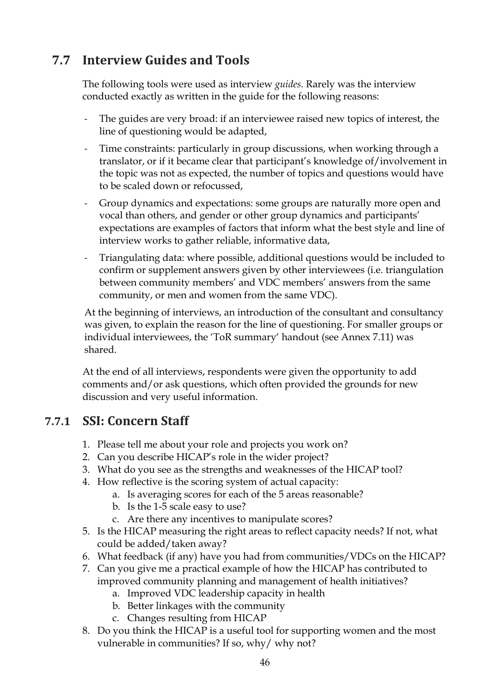## **7.7 Interview Guides and Tools**

The following tools were used as interview *guides.* Rarely was the interview conducted exactly as written in the guide for the following reasons:

- The guides are very broad: if an interviewee raised new topics of interest, the line of questioning would be adapted,
- Time constraints: particularly in group discussions, when working through a translator, or if it became clear that participant's knowledge of/involvement in the topic was not as expected, the number of topics and questions would have to be scaled down or refocussed,
- Group dynamics and expectations: some groups are naturally more open and vocal than others, and gender or other group dynamics and participants' expectations are examples of factors that inform what the best style and line of interview works to gather reliable, informative data,
- Triangulating data: where possible, additional questions would be included to confirm or supplement answers given by other interviewees (i.e. triangulation between community members' and VDC members' answers from the same community, or men and women from the same VDC).

At the beginning of interviews, an introduction of the consultant and consultancy was given, to explain the reason for the line of questioning. For smaller groups or individual interviewees, the 'ToR summary' handout (see Annex 7.11) was shared.

At the end of all interviews, respondents were given the opportunity to add comments and/or ask questions, which often provided the grounds for new discussion and very useful information.

## **7.7.1 SSI: Concern Staff**

- 1. Please tell me about your role and projects you work on?
- 2. Can you describe HICAP's role in the wider project?
- 3. What do you see as the strengths and weaknesses of the HICAP tool?
- 4. How reflective is the scoring system of actual capacity:
	- a. Is averaging scores for each of the 5 areas reasonable?
	- b. Is the 1-5 scale easy to use?
	- c. Are there any incentives to manipulate scores?
- 5. Is the HICAP measuring the right areas to reflect capacity needs? If not, what could be added/taken away?
- 6. What feedback (if any) have you had from communities/VDCs on the HICAP?
- 7. Can you give me a practical example of how the HICAP has contributed to improved community planning and management of health initiatives?
	- a. Improved VDC leadership capacity in health
	- b. Better linkages with the community
	- c. Changes resulting from HICAP
- 8. Do you think the HICAP is a useful tool for supporting women and the most vulnerable in communities? If so, why/ why not?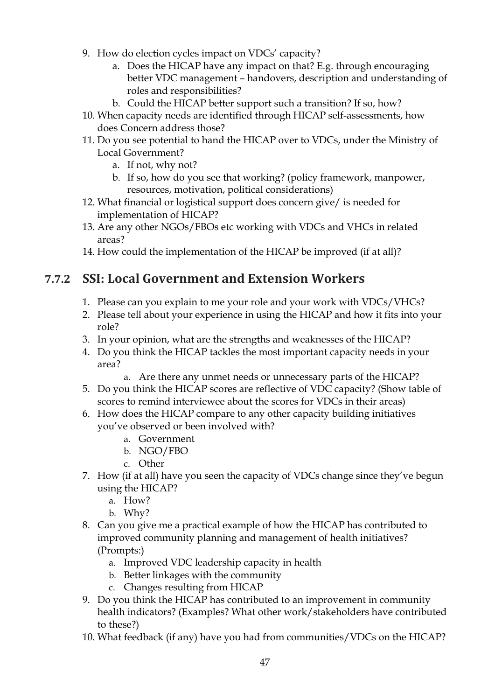- 9. How do election cycles impact on VDCs' capacity?
	- a. Does the HICAP have any impact on that? E.g. through encouraging better VDC management – handovers, description and understanding of roles and responsibilities?
	- b. Could the HICAP better support such a transition? If so, how?
- 10. When capacity needs are identified through HICAP self-assessments, how does Concern address those?
- 11. Do you see potential to hand the HICAP over to VDCs, under the Ministry of Local Government?
	- a. If not, why not?
	- b. If so, how do you see that working? (policy framework, manpower, resources, motivation, political considerations)
- 12. What financial or logistical support does concern give/ is needed for implementation of HICAP?
- 13. Are any other NGOs/FBOs etc working with VDCs and VHCs in related areas?
- 14. How could the implementation of the HICAP be improved (if at all)?

## **7.7.2 SSI: Local Government and Extension Workers**

- 1. Please can you explain to me your role and your work with VDCs/VHCs?
- 2. Please tell about your experience in using the HICAP and how it fits into your role?
- 3. In your opinion, what are the strengths and weaknesses of the HICAP?
- 4. Do you think the HICAP tackles the most important capacity needs in your area?
	- a. Are there any unmet needs or unnecessary parts of the HICAP?
- 5. Do you think the HICAP scores are reflective of VDC capacity? (Show table of scores to remind interviewee about the scores for VDCs in their areas)
- 6. How does the HICAP compare to any other capacity building initiatives you've observed or been involved with?
	- a. Government
	- b. NGO/FBO
	- c. Other
- 7. How (if at all) have you seen the capacity of VDCs change since they've begun using the HICAP?
	- a. How?
	- b. Why?
- 8. Can you give me a practical example of how the HICAP has contributed to improved community planning and management of health initiatives? (Prompts:)
	- a. Improved VDC leadership capacity in health
	- b. Better linkages with the community
	- c. Changes resulting from HICAP
- 9. Do you think the HICAP has contributed to an improvement in community health indicators? (Examples? What other work/stakeholders have contributed to these?)
- 10. What feedback (if any) have you had from communities/VDCs on the HICAP?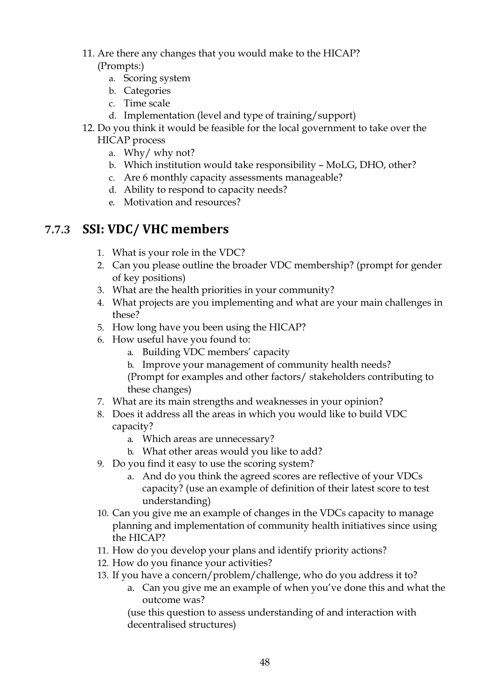11. Are there any changes that you would make to the HICAP?

### (Prompts:)

- a. Scoring system
- b. Categories
- c. Time scale
- d. Implementation (level and type of training/support)
- 12. Do you think it would be feasible for the local government to take over the HICAP process
	- a. Why/ why not?
	- b. Which institution would take responsibility MoLG, DHO, other?
	- c. Are 6 monthly capacity assessments manageable?
	- d. Ability to respond to capacity needs?
	- e. Motivation and resources?

### **7.7.3 SSI: VDC/ VHC members**

- 1. What is your role in the VDC?
- 2. Can you please outline the broader VDC membership? (prompt for gender of key positions)
- 3. What are the health priorities in your community?
- 4. What projects are you implementing and what are your main challenges in these?
- 5. How long have you been using the HICAP?
- 6. How useful have you found to:
	- a. Building VDC members' capacity
	- b. Improve your management of community health needs?
	- (Prompt for examples and other factors/ stakeholders contributing to these changes)
- 7. What are its main strengths and weaknesses in your opinion?
- 8. Does it address all the areas in which you would like to build VDC capacity?
	- a. Which areas are unnecessary?
	- b. What other areas would you like to add?
- 9. Do you find it easy to use the scoring system?
	- a. And do you think the agreed scores are reflective of your VDCs capacity? (use an example of definition of their latest score to test understanding)
- 10. Can you give me an example of changes in the VDCs capacity to manage planning and implementation of community health initiatives since using the HICAP?
- 11. How do you develop your plans and identify priority actions?
- 12. How do you finance your activities?
- 13. If you have a concern/problem/challenge, who do you address it to?
	- a. Can you give me an example of when you've done this and what the outcome was?

(use this question to assess understanding of and interaction with decentralised structures)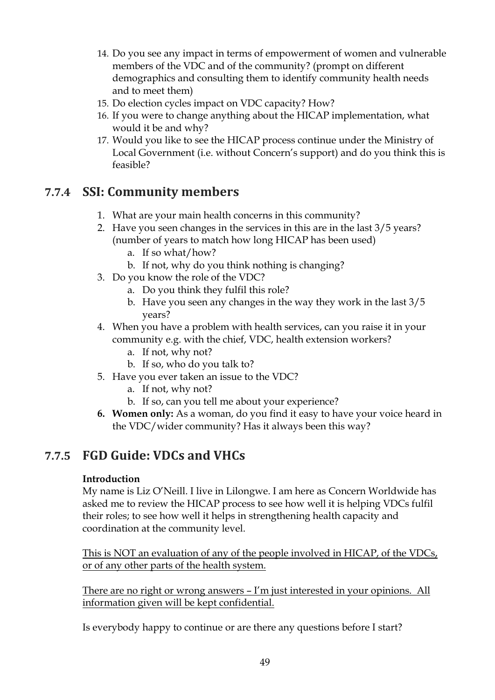- 14. Do you see any impact in terms of empowerment of women and vulnerable members of the VDC and of the community? (prompt on different demographics and consulting them to identify community health needs and to meet them)
- 15. Do election cycles impact on VDC capacity? How?
- 16. If you were to change anything about the HICAP implementation, what would it be and why?
- 17. Would you like to see the HICAP process continue under the Ministry of Local Government (i.e. without Concern's support) and do you think this is feasible?

### **7.7.4 SSI: Community members**

- 1. What are your main health concerns in this community?
- 2. Have you seen changes in the services in this are in the last 3/5 years? (number of years to match how long HICAP has been used)
	- a. If so what/how?
	- b. If not, why do you think nothing is changing?
- 3. Do you know the role of the VDC?
	- a. Do you think they fulfil this role?
	- b. Have you seen any changes in the way they work in the last 3/5 years?
- 4. When you have a problem with health services, can you raise it in your community e.g. with the chief, VDC, health extension workers?
	- a. If not, why not?
	- b. If so, who do you talk to?
- 5. Have you ever taken an issue to the VDC?
	- a. If not, why not?
	- b. If so, can you tell me about your experience?
- **6. Women only:** As a woman, do you find it easy to have your voice heard in the VDC/wider community? Has it always been this way?

## **7.7.5 FGD Guide: VDCs and VHCs**

### **Introduction**

My name is Liz O'Neill. I live in Lilongwe. I am here as Concern Worldwide has asked me to review the HICAP process to see how well it is helping VDCs fulfil their roles; to see how well it helps in strengthening health capacity and coordination at the community level.

This is NOT an evaluation of any of the people involved in HICAP, of the VDCs, or of any other parts of the health system.

There are no right or wrong answers – I'm just interested in your opinions. All information given will be kept confidential.

Is everybody happy to continue or are there any questions before I start?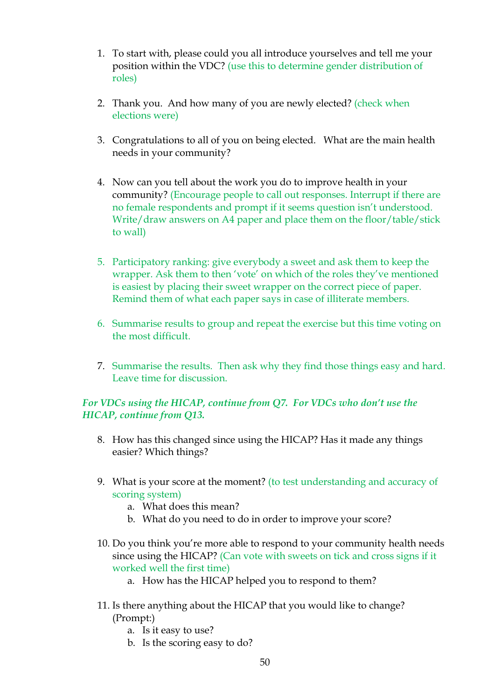- 1. To start with, please could you all introduce yourselves and tell me your position within the VDC? (use this to determine gender distribution of roles)
- 2. Thank you. And how many of you are newly elected? (check when elections were)
- 3. Congratulations to all of you on being elected. What are the main health needs in your community?
- 4. Now can you tell about the work you do to improve health in your community? (Encourage people to call out responses. Interrupt if there are no female respondents and prompt if it seems question isn't understood. Write/draw answers on A4 paper and place them on the floor/table/stick to wall)
- 5. Participatory ranking: give everybody a sweet and ask them to keep the wrapper. Ask them to then 'vote' on which of the roles they've mentioned is easiest by placing their sweet wrapper on the correct piece of paper. Remind them of what each paper says in case of illiterate members.
- 6. Summarise results to group and repeat the exercise but this time voting on the most difficult.
- 7. Summarise the results. Then ask why they find those things easy and hard. Leave time for discussion.

### *For VDCs using the HICAP, continue from Q7. For VDCs who don't use the HICAP, continue from Q13.*

- 8. How has this changed since using the HICAP? Has it made any things easier? Which things?
- 9. What is your score at the moment? (to test understanding and accuracy of scoring system)
	- a. What does this mean?
	- b. What do you need to do in order to improve your score?
- 10. Do you think you're more able to respond to your community health needs since using the HICAP? (Can vote with sweets on tick and cross signs if it worked well the first time)
	- a. How has the HICAP helped you to respond to them?
- 11. Is there anything about the HICAP that you would like to change? (Prompt:)
	- a. Is it easy to use?
	- b. Is the scoring easy to do?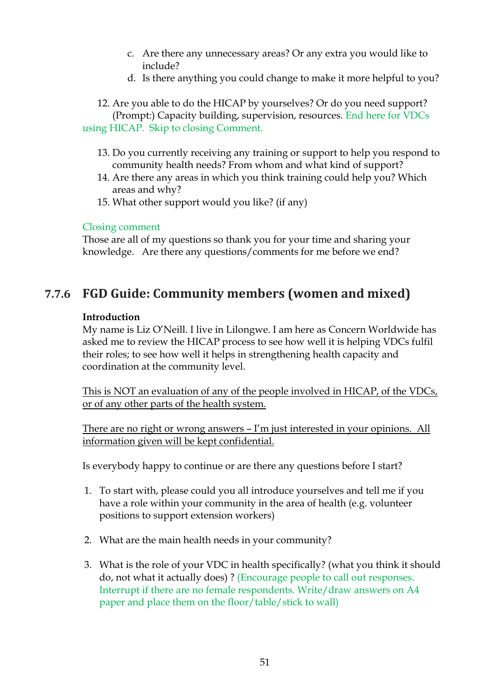- c. Are there any unnecessary areas? Or any extra you would like to include?
- d. Is there anything you could change to make it more helpful to you?

12. Are you able to do the HICAP by yourselves? Or do you need support? (Prompt:) Capacity building, supervision, resources. End here for VDCs using HICAP. Skip to closing Comment.

- 13. Do you currently receiving any training or support to help you respond to community health needs? From whom and what kind of support?
- 14. Are there any areas in which you think training could help you? Which areas and why?
- 15. What other support would you like? (if any)

#### Closing comment

Those are all of my questions so thank you for your time and sharing your knowledge. Are there any questions/comments for me before we end?

### **7.7.6 FGD Guide: Community members (women and mixed)**

#### **Introduction**

My name is Liz O'Neill. I live in Lilongwe. I am here as Concern Worldwide has asked me to review the HICAP process to see how well it is helping VDCs fulfil their roles; to see how well it helps in strengthening health capacity and coordination at the community level.

This is NOT an evaluation of any of the people involved in HICAP, of the VDCs, or of any other parts of the health system.

There are no right or wrong answers - I'm just interested in your opinions. All information given will be kept confidential.

Is everybody happy to continue or are there any questions before I start?

- 1. To start with, please could you all introduce yourselves and tell me if you have a role within your community in the area of health (e.g. volunteer positions to support extension workers)
- 2. What are the main health needs in your community?
- 3. What is the role of your VDC in health specifically? (what you think it should do, not what it actually does) ? (Encourage people to call out responses. Interrupt if there are no female respondents. Write/draw answers on A4 paper and place them on the floor/table/stick to wall)